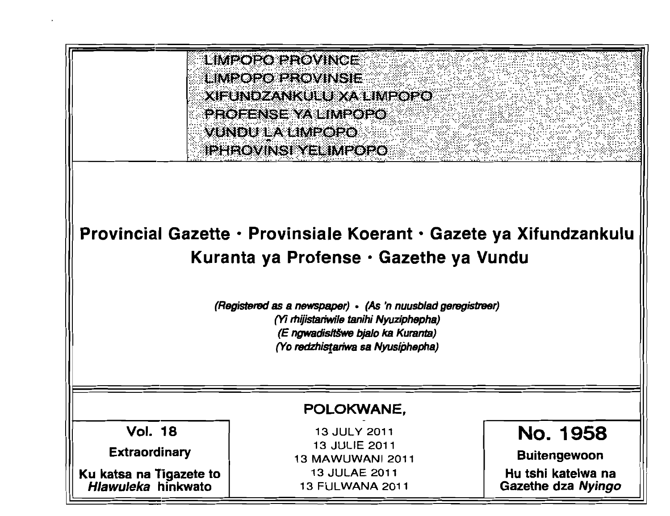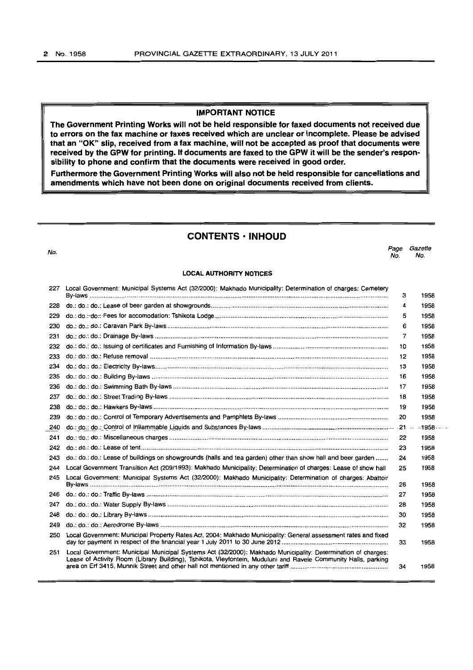## **IMPORTANT NOTICE**

**The Government Printing Works will not be held responsible for faxed documents not received due to errors on the fax machine or faxes received which are unclear or incomplete. Please be advised that an "OK" slip, received from a fax machine, will not be accepted as proof that documents were received by the GPW for printing. If documents are faxed to the GPW it will be the sender's responsibility to phone and confirm that the documents were received in good order.** 

**Furthermore the Government Printing Works will also not be held responsible for cancellations and amendments which have not been done on original documents received from clients.** 

# **CONTENTS· INHOUD**

| No. |                                                                                                                                                                                                                                | Page<br>No. | Gazette<br>No. |
|-----|--------------------------------------------------------------------------------------------------------------------------------------------------------------------------------------------------------------------------------|-------------|----------------|
|     | <b>LOCAL AUTHORITY NOTICES</b>                                                                                                                                                                                                 |             |                |
| 227 | Local Government: Municipal Systems Act (32/2000): Makhado Municipality: Determination of charges: Cemetery                                                                                                                    | 3           | 1958           |
| 228 |                                                                                                                                                                                                                                | 4           | 1958           |
| 229 |                                                                                                                                                                                                                                | 5           | 1958           |
| 230 |                                                                                                                                                                                                                                | 6           | 1958           |
| 231 |                                                                                                                                                                                                                                | 7           | 1958           |
| 232 |                                                                                                                                                                                                                                | 10          | 1958           |
| 233 |                                                                                                                                                                                                                                | 12          | 1958           |
| 234 |                                                                                                                                                                                                                                | 13          | 1958           |
| 235 |                                                                                                                                                                                                                                | 16          | 1958           |
| 236 |                                                                                                                                                                                                                                | 17          | 1958           |
| 237 |                                                                                                                                                                                                                                | 18          | 1958           |
| 238 |                                                                                                                                                                                                                                | 19          | 1958           |
| 239 |                                                                                                                                                                                                                                | 20          | 1958           |
| 240 |                                                                                                                                                                                                                                |             | 1958           |
| 241 |                                                                                                                                                                                                                                | 22          | 1958           |
| 242 |                                                                                                                                                                                                                                | 23          | 1958           |
| 243 | do.: do.: do.: Lease of buildings on showgrounds (halls and tea garden) other than show hall and beer garden                                                                                                                   | 24          | 1958           |
| 244 | Local Government Transition Act (209/1993): Makhado Municipality: Determination of charges: Lease of show hall                                                                                                                 | 25          | 1958           |
| 245 | Local Government: Municipal Systems Act (32/2000): Makhado Municipality: Determination of charges: Abattoir                                                                                                                    |             |                |
|     |                                                                                                                                                                                                                                | 26          | 1958           |
| 246 |                                                                                                                                                                                                                                | 27          | 1958           |
| 247 |                                                                                                                                                                                                                                | 28          | 1958           |
| 248 |                                                                                                                                                                                                                                | 30          | 1958           |
| 249 |                                                                                                                                                                                                                                | 32          | 1958           |
| 250 | Local Government: Municipal Property Rates Act, 2004: Makhado Municipality: General assessment rates and fixed                                                                                                                 | 33          | 1958           |
| 251 | Local Government: Municipal Municipal Systems Act (32/2000): Makhado Municipality: Determination of charges:<br>Lease of Activity Room (Library Building), Tshikota, Vleyfontein, Muduluni and Ravele Community Halls, parking | 34          | 1958           |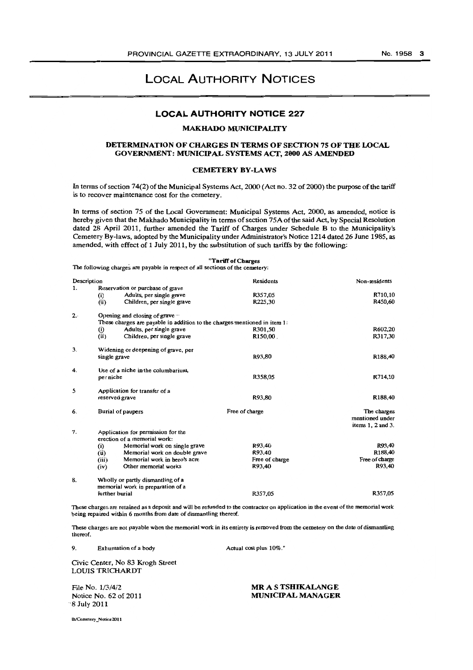#### **LOCAL AUTHORITY NOTICE** 227

## MAKHADO MUNICIPALITY

## DETERMINATION OF CHARGES IN TERMS OF SEcrION 75 OF THE LOCAL GOVERNMENT: MUNICIPAL SYSTEMS Acr, 2000 AS AMENDED

#### CEMETERY BY-LAWS

In tenns of section 74(2) of the Municipal Systems Act, 2000 (Act no. 32 of 2000) the purpose of the tariff is to recover maintenance cost for the cemetery.

In tenns of section 75 of the Local Government: Municipal Systems Act, 2000, as amended, notice is hereby given that the Makhado Municipality in terms of section 75A of the said Act, by Special Resolution dated 28 April 2011, further amended the Tariff of Charges under Schedule B to the Municipality's Cemetery By-laws, adopted by the Municipality under Administrator's Notice 1214 dated 26 June 1985, as amended, with effect of 1 July 2011, by the substitution of such tariffs by the following:

#### "Tariff of Cbarges

The following charges are payable in respect of all sections of the cemetery:

| Description |                                                                           | Residents      | Non-residents         |
|-------------|---------------------------------------------------------------------------|----------------|-----------------------|
| 1.          | Reservation or purchase of grave                                          |                |                       |
|             | Adults, per single grave<br>(i)                                           | R357,05        | R710,10               |
|             | (ii)<br>Children, per single grave                                        | R225,30        | R450.60               |
| 2.1         | Opening and closing of grave                                              |                |                       |
|             | These charges are payable in addition to the charges mentioned in item 1: |                |                       |
|             | Adults, per single grave<br>Ö)                                            | R301,50        | <b>R602,20</b>        |
|             | (ii)<br>Children, per single grave                                        | R150,00        | R317,30               |
| 3.          | Widening or deepening of grave, per                                       |                |                       |
|             | single grave                                                              | R93,80         | R188,40               |
| 4.          | Use of a niche in the columbarium,                                        |                |                       |
|             | per niche                                                                 | R358,05        | R714,10               |
| 5.          | Application for transfer of a                                             |                |                       |
|             | reserved grave                                                            | R93,80         | R188,40               |
| 6.          | Burial of paupers                                                         | Free of charge | The charges           |
|             |                                                                           |                | mentioned under       |
|             |                                                                           |                | items $1, 2$ and $3.$ |
| 7.          | Application for permission for the                                        |                |                       |
|             | erection of a memorial work:                                              |                |                       |
|             | Memorial work on single grave<br>(i)                                      | R93,40         | R93,40                |
|             | Memorial work on double grave<br>(ii)                                     | R93.40         | R188.40               |
|             | Memorial work in hero's acre<br>(iii)                                     | Free of charge | Free of charge        |
|             | (iv)<br>Other memorial works                                              | R93,40         | R93,40                |
| 8.          | Wholly or partly dismantling of a                                         |                |                       |
|             | memorial work in preparation of a                                         |                |                       |
|             | further burial                                                            | R357.05        | R357.05               |

These cbarge:; are retained as a deposit and will be refunded to the contractor on application in the event of the memorial work being repaired within 6 months from date of dismantling thereof.

These charges are not payable when the memorial work in its entirety is removed from the cemetery on the date of dismantling thereof.

9. Exhumation of a body

Actual cost plus 10%."

Civic Center, No 83 Krogh Street LOUIS TRICHARDT

File No. 1/3/4/2 Notice No. 62 of 2011 -'8 July 2011

MR A S TSHIKALANGE MUNICIPAL MANAGER

lhICemetery \_Notir.c:2011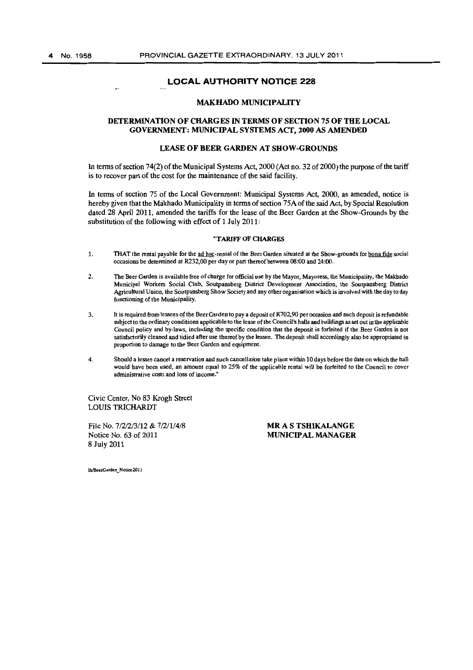## MAKHADO MUNICIPALITY

#### DETERMINATION OF CHARGES IN TERMS OF SECTION 75 OF THE LOCAL GOVERNMENT: MUNICIPAL SYSTEMS ACT, 2000 AS AMENDED

#### LEASE OF BEER GARDEN AT SHOW-GROUNDS

In terms of section 74(2) of the Municipal Systems Act, 2000 (Act no. 32 of 2000) the purpose of the tariff is to recover part of the cost for the maintenance of the said facility.

In terms of section 75 of the Local Government: Municipal Systems Act, 2000, as amended, notice is hereby given that the Makhado Municipality in terms of section 75A of the said Act, by Special Resolution dated 28 April 2011, amended the tariffs for the lease of the Beer Garden at the Show-Grounds by the substitution of the following with effect of  $1$  July 2011:

#### "TARIFF OF CHARGES

- 1. THAT the rental payable for the ad hoc-rental of the Beer Garden situated at the Show-grounds for bona fide social occasions be determined at R232,00 per day or part thereof between 08:00 and 24:00.
- 2. The Beer Garden is available free of charge for official use by the Mayor, Mayoress, the Municipality, the Makhado Municipal Workers Social Club, Soutpansberg District Development Association, the Soutpansberg District Agricultural Union, the Soutpansberg Show Society and any otber organisation which is involved witb the day to day functioning of tbe Municipality.
- 3. It is required from lessees qf the Beer Garden to.pay a deposit of R702,90 per occasion and such deposit is refundable subject to the ordinary conditions applicable to the lease of the Council's halls and buildings as set out in the applicable Council policy and by-laws, including the specific condition that the deposit is forfeited if the Beer Garden is not satisfactorily cleaned and tidied after use thereof by the lessee. The deposit shall accordingly also be appropriated in proportion to damage to the Beer Garden and equipment.
- 4. Should a lessee cancel a reservation and such cancellation take place within 10 days before the date on which the hall would have been used, an amount equal to 25% of the applicable rental will be forfeited to the Council to cover administrative costs and loss of income."

Civic Center, No 83 Krogh Street LOUIS TRICHARDT

File No. *7/212/3/12* & 7/2/1/4/8 Notice No. 63 of 2011 8 July 2011

MR A S TSHIKALANGE MUNICIPAL MANAGER

Ih/BeerGarden Notice2011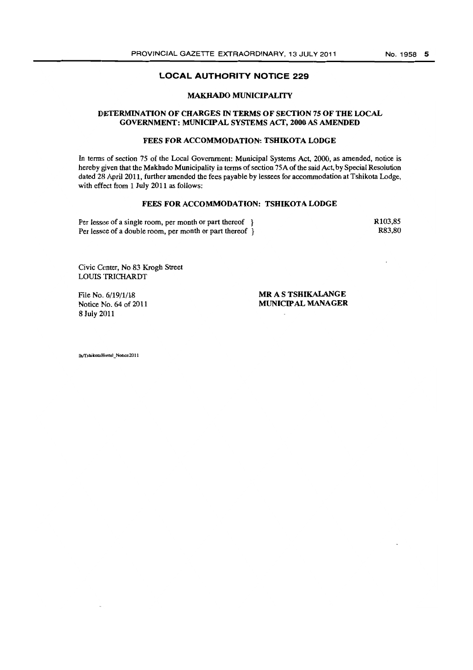## **MAKHADO MUNICIPALITY**

#### **DETERMINATION OF CHARGES IN TERMS OF SECTION 75 OF THE LOCAL GOVERNMENT: MUNICIPAL SYSTEMS** ACT, **2000 AS AMENDED**

## **FEES FOR ACCOMMODATION: TSHIKOTA LODGE**

In tenns of section 75 of the Local Government: Municipal Systems Act, 2000, as amended, notice is hereby given that the Makhado Municipality in terms of section 75A of the said Act, by Special Resolution dated 28 April 2011. further amended the fees payable by lessees for accommodation at Tshikota Lodge, with effect from 1 July 2011 as follows:

#### **FEES** FOR ACCOMMODATION: **TSHIKOTALODGE**

Per lessee of a single room, per month or part thereof } Per lessee of a double room, per month or part thereof  $\hat{ }$  R103,85 R83,80

Civic Center, No 83 Krogh Street LOUIS TRICHARDT

File No. 6/19/1/18 Notice No. 64 of 2011 8 July 2011

MR A S **TSHIKALANGE MUNICIPAL MANAGER** 

Ih/TshikotaHostel\_Notice2011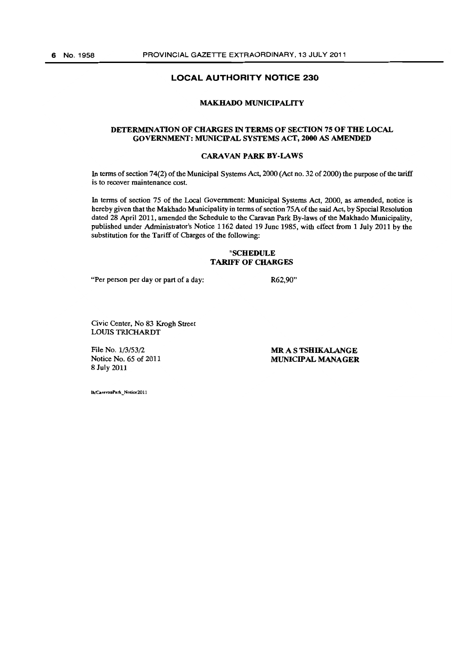#### **MAKHADO MUNICIPALITY**

## **DETERMINATION OF CHARGES IN TERMS OF SECTION 75 OF THE LOCAL GOVERNMENT: MUNICIPAL SYSTEMS ACT, 2000 AS AMENDED**

#### **CARAVAN** PARK BY-LAWS

In tenns of section 74(2) of the Municipal Systems Act, 2000 (Act no. 32 of 2000) the purpose of the tariff is to recover maintenance cost.

In tenns of section 75 of the Local Government: Municipal Systems Act, 2000, as amended, notice is hereby given that the Makhado Municipality in terms of section 75A of the said Act, by Special Resolution dated 28 April 2011, amended the Schedule to the Caravan Park By-laws of the Makhado Municipality, published under Administrator's Notice 1162 dated 19 June 1985, with effect from 1 July 2011 by the substitution for the Tariff of Charges of the following:

#### **"SCHEDULE TARIFF OF CHARGES**

"Per person per day or part of a day:

R62,9O"

Civic Center, No 83 Krogh Street LOUIS TRICHARDT

File No. *113153/2*  Notice No. 65 of 2011 8 July 2011

MR A S **TSHIKALANGE MUNICIPAL MANAGER** 

Ih/CaravanPark\_Notice2011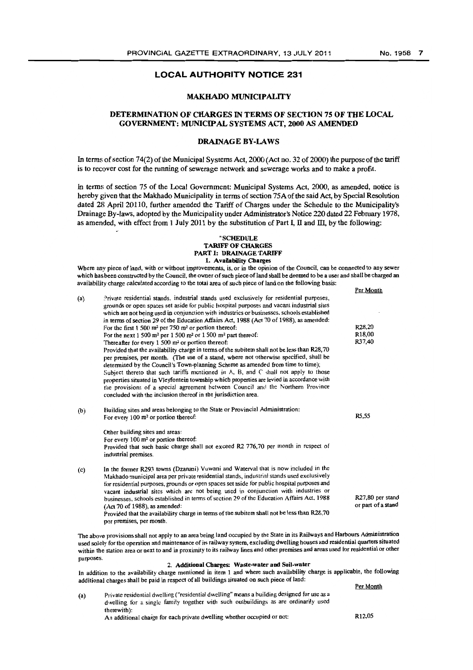Per Month

## **LOCAL AUTHORITY NOTICE 231**

#### MAKHADO MUNICIPALITY

## DETERMINATION OF CHARGES IN TERMS OF SECTION 7S OF THE LOCAL GOVERNMENT: MUNICIPAL SYSTEMS ACT, 2000 AS AMENDED

## DRAINAGE BY·LAWS

In terms of section 74(2) of the Municipal Systems Act, 2000 (Act no. 32 of 2000) the purpose of the tariff is to recover cost for the running of sewerage network and sewerage works and to make a profit.

In terms of section 75 of the Local Government: Municipal Systems Act, 2000, as amended, notice is hereby given that the Makhado Municipality in terms of section 75A of the said Act, by Special Resolution dated 28 April 20110, further amended the Tariff of Charges under the Schedule to the Municipality's Drainage By-laws, adopted by the Municipality under Administrator's Notice 220 dated 22 February 1978, as amended, with effect from 1 July 2011 by the substitution of Part I, II and III, by the following:

#### "SCHEDULE TARIFF OF CHARGES PART I: DRAINAGE TARIFF 1. Availability Charges

Where any piece of land, with or without improvements, is, or in the opinion of the Council, can be connected to any sewer which has been constructed by the Council, the owner of such piece of land shall be deemed to be a user and shall be charged an availability charge calculated according to the total area of such piece of land on tbe following basis:

| (a)       | Private residential stands, industrial stands used exclusively for residential purposes,<br>grounds or open spaces set aside for public hospital purposes and vacant industrial sites<br>which are not being used in conjunction with industrics or businesses, schools established<br>in terms of section 29 of the Education Affairs Act, 1988 (Act 70 of 1988), as amended:<br>R <sub>28</sub> ,20<br>For the first $1500$ m <sup>2</sup> per 750 m <sup>2</sup> or portion thereof:                                                                                                                              |                                        |  |  |  |
|-----------|----------------------------------------------------------------------------------------------------------------------------------------------------------------------------------------------------------------------------------------------------------------------------------------------------------------------------------------------------------------------------------------------------------------------------------------------------------------------------------------------------------------------------------------------------------------------------------------------------------------------|----------------------------------------|--|--|--|
|           | For the next 1 500 m <sup>2</sup> per 1 500 m <sup>2</sup> or 1 500 m <sup>2</sup> part thereof:                                                                                                                                                                                                                                                                                                                                                                                                                                                                                                                     | R <sub>18,00</sub>                     |  |  |  |
|           | Thereafter for every $1,500$ m <sup>2</sup> or portion thereof:                                                                                                                                                                                                                                                                                                                                                                                                                                                                                                                                                      | R37,40                                 |  |  |  |
|           | Provided that the availability charge in terms of the subitem shall not be less than R28,70<br>per premises, per month. (The use of a stand, where not otherwise specified, shall be<br>determined by the Council's Town-planning Scheme as amended from time to time);<br>Subject thereto that such tariffs mentioned in $A$ , B, and C shall not apply to those<br>properties situated in Vleyfontein township which properties are levied in accordance with<br>the provisions of a special agreement between Council and the Northern Province<br>concluded with the inclusion thereof in the jurisdiction area. |                                        |  |  |  |
|           |                                                                                                                                                                                                                                                                                                                                                                                                                                                                                                                                                                                                                      |                                        |  |  |  |
| (b)       | Building sites and areas belonging to the State or Provincial Administration:<br>For every $100 \text{ m}^2$ or portion thereof:                                                                                                                                                                                                                                                                                                                                                                                                                                                                                     | R5,55                                  |  |  |  |
|           | Cither building sites and areas:                                                                                                                                                                                                                                                                                                                                                                                                                                                                                                                                                                                     |                                        |  |  |  |
|           | For every $100 \text{ m}^2$ or portion thereof:                                                                                                                                                                                                                                                                                                                                                                                                                                                                                                                                                                      |                                        |  |  |  |
|           | Provided that such basic charge shall not exceed R2 776,70 per month in respect of<br>industrial premises.                                                                                                                                                                                                                                                                                                                                                                                                                                                                                                           |                                        |  |  |  |
| (c)       | In the former R293 towns (Dzanani) Vuwani and Waterval that is now included in the<br>Makhado municipal area per private residential stands, industrial stands used exclusively<br>for residential purposes, grounds or open spaces set aside for public hospital purposes and<br>vacant industrial sites which are not being used in conjunction with industries or                                                                                                                                                                                                                                                 |                                        |  |  |  |
|           | businesses, schools established in terms of section 29 of the Education Affairs Act. 1988<br>$(Act 70 of 1988)$ , as amended:<br>Provided that the availability charge in terms of the subitem shall not be less than R28,70                                                                                                                                                                                                                                                                                                                                                                                         | R27,80 per stand<br>or part of a stand |  |  |  |
|           | per premises, per month.                                                                                                                                                                                                                                                                                                                                                                                                                                                                                                                                                                                             |                                        |  |  |  |
| purposes. | The above provisions shall not apply to an area being land occupied by the State in its Railways and Harbours Administration<br>used solely for the operation and maintenance of its railway system, excluding dwelling houses and residential quarters situated<br>within the station area or next to and in proximity to its railway lines and other premises and areas used for residential or other                                                                                                                                                                                                              |                                        |  |  |  |

#### 2. Additional Charges: Waste-water and Soil-water

In addition to the availability charge mentioned in item 1 and where such availability charge is applicable, the following additional charges shall be paid in respect of all buildings situated on such piece of land: Per Month

| (a) | Private residential dwelling ("residential dwelling" means a building designed for use as a |                    |  |  |  |
|-----|---------------------------------------------------------------------------------------------|--------------------|--|--|--|
|     | dwelling for a single family together with such outbuildings as are ordinarily used         |                    |  |  |  |
|     | therewith):                                                                                 |                    |  |  |  |
|     | An additional charge for each private dwelling whether occupied or not:                     | R <sub>12.05</sub> |  |  |  |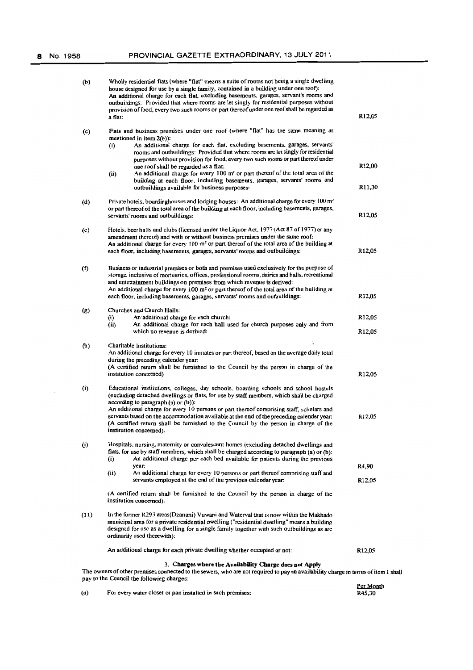| (b)   | Wholly residential flats (where "flat" means a suite of rooms not being a single dwelling<br>house designed for use by a single family, contained in a building under one roof):<br>An additional charge for each flat, excluding basements, garages, servant's rooms and<br>outbuildings: Provided that where rooms are let singly for residential purposes without<br>provision of food, every two such rooms or part thereof under one roof shall be regarded as<br>a flat:                                                                                                                                                                           | R <sub>12</sub> ,05                       |
|-------|----------------------------------------------------------------------------------------------------------------------------------------------------------------------------------------------------------------------------------------------------------------------------------------------------------------------------------------------------------------------------------------------------------------------------------------------------------------------------------------------------------------------------------------------------------------------------------------------------------------------------------------------------------|-------------------------------------------|
| (c)   | Flats and business premises under one roof (where "flat" has the same meaning as<br>mentioned in item $2(b)$ :<br>An additional charge for each flat, excluding basements, garages, servants'<br>(i)<br>rooms and outbuildings: Provided that where rooms are let singly for residential<br>purposes without provision for food, every two such rooms or part thereof under<br>one roof shall be regarded as a flat:<br>An additional charge for every 100 m <sup>2</sup> or part thereof of the total area of the<br>(ii)<br>building at each floor, including basements, garages, servants' rooms and<br>outbuildings available for business purposes: | R12,00<br>R11,30                          |
| (d)   | Private hotels, boardinghouses and lodging houses: An additional charge for every 100 m <sup>2</sup><br>or part thereof of the total area of the building at each floor, including basements, garages,<br>servants' rooms and outbuildings:                                                                                                                                                                                                                                                                                                                                                                                                              | R12,05                                    |
| (e)   | Hotels, beer halls and clubs (licensed under the Liquor Act, 1977 (Act 87 of 1977) or any<br>amendment thereof) and with or without business premises under the same roof:<br>An additional charge for every $100 \text{ m}^2$ or part thereof of the total area of the building at<br>each floor, including basements, garages, servants' rooms and outbuildings:                                                                                                                                                                                                                                                                                       | R12,05                                    |
| $($ f | Business or industrial premises or both and premises used exclusively for the purpose of<br>storage, inclusive of mortuaries, offices, professional rooms, dairies and halls, recreational<br>and entertainment buildings on premises from which revenue is derived:<br>An additional charge for every 100 $m2$ or part thereof of the total area of the building at<br>each floor, including basements, garages, servants' rooms and outbuildings:                                                                                                                                                                                                      | R <sub>12,05</sub>                        |
| (g)   | Churches and Church Halls:<br>An additional charge for each church:<br>$\bf(i)$<br>(ii)<br>An additional charge for each hall used for church purposes only and from<br>which no revenue is derived:                                                                                                                                                                                                                                                                                                                                                                                                                                                     | R <sub>12,05</sub><br>R <sub>12</sub> ,05 |
| (h)   | Charitable Institutions:<br>An additional charge for every 10 inmates or part thereof, based on the average daily total<br>during the preceding calender year:<br>(A certified return shall be furnished to the Council by the person in charge of the<br>institution concerned)                                                                                                                                                                                                                                                                                                                                                                         | R <sub>12,05</sub>                        |
| (i)   | Educational institutions, colleges, day schools, boarding schools and school hostels<br>(excluding detached dwellings or flats, for use by staff members, which shall be charged<br>according to paragraph $(a)$ or $(b)$ ):<br>An additional charge for every 10 persons or part thereof comprising staff, scholars and<br>servants based on the accommodation available at the end of the preceding calender year.<br>(A certified return shall be furnished to the Council by the person in charge of the<br>institution concerned).                                                                                                                  | R <sub>12</sub> ,05                       |
| (j)   | Hospitals, nursing, maternity or convalescent homes (excluding detached dwellings and<br>flats, for use by staff members, which shall be charged according to paragraph (a) or (b):<br>An additional charge per cach bed available for patients during the previous<br>(i)<br>year.                                                                                                                                                                                                                                                                                                                                                                      | R4,90                                     |
|       | (ii)<br>An additional charge for every 10 persons or part thereof comprising staff and<br>servants employed at the end of the previous calendar year.                                                                                                                                                                                                                                                                                                                                                                                                                                                                                                    | R <sub>12,05</sub>                        |
|       | (A certified return shall be furnished to the Council by the person in charge of the<br>institution concerned).                                                                                                                                                                                                                                                                                                                                                                                                                                                                                                                                          |                                           |
| (11)  | In the former R293 areas(Dzanani) Vuwani and Waterval that is now within the Makhado<br>municipal area for a private residential dwelling ("residential dwelling" means a building<br>designed for use as a dwelling for a single family together with such outbuildings as are<br>ordinarily used therewith):                                                                                                                                                                                                                                                                                                                                           |                                           |
|       | An additional charge for each private dwelling whether occupied or not:                                                                                                                                                                                                                                                                                                                                                                                                                                                                                                                                                                                  | R <sub>12</sub> ,05                       |
|       | 3. Charges where the Availability Charge does not Apply<br>The owners of other premises connected to the sewers, who are not required to pay an availability charge in terms of item 1 shall<br>pay to the Council the following charges:                                                                                                                                                                                                                                                                                                                                                                                                                |                                           |

(a) For every water closet or pan installed in such premises: Per Month R45,30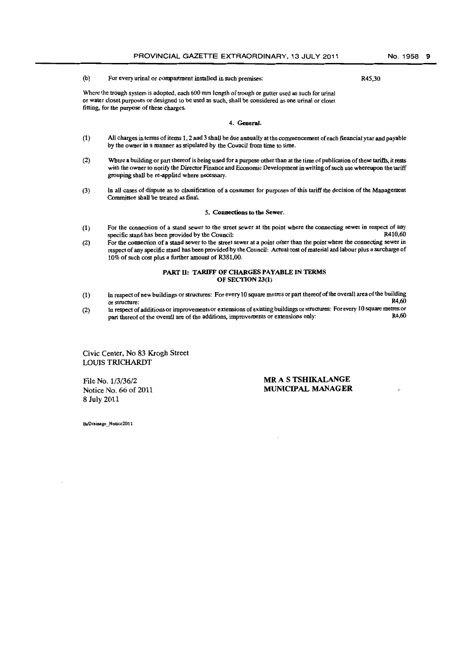#### (b) For every urinal or compartment installed in sucb premises:

R45,30

Where the trough system is adopted, each 600 mm length of trough or gutter used as such for urinal or waler closet purposes or designed to be used as such, shall be considered as one urinal or closet fitting, for the purpose of these charges.

#### 4. General.

- (1) All charges in terms of items 1, 2 and 3 shall be due annually at the commencement of each financial year and payable by the owner in a manner as stipulated by the Council from time to time.
- (2) Where a building or part thereof is being used for a purpose other than at the time of publication of these tariffs, it rests with the owner to notify the Director Finance and Economic Development in writing of such use whereupon the tariff grouping shall be re-applied where necessary.
- (3) In all cases of dispute as to classification of a consumer for purposes of this tariff the decision of the Management Committee shall be treated as final.

#### 5. Connections to the Sewer.

- (1) For the connection of a stand sewer to the street sewer at the point where the connecting sewer in respect of any specific stand has been provided by the Council: specific stand has been provided by the Council:
- (2) For the connection of a stand sewer to the street sewer at a point otber tban the point where the connecting sewer in respect of any specific stand has been provided by the Council: Actual cost of material and labour plus a surcharge of 10% of such cost plus a further amount of R381,OO.

#### PART II: TARIFF OF CHARGES PAYABLE IN TERMS OF SECTION 23(1)

- (1) In respect of new buildings or structures: For every 10 square metres or part thereof of the overall area of the building<br>R4,60 or structure: R4,60
- (2) In respect of additions or improvements or extensions of existing buildings or structures: Forevery 10 square metres or part thereof of the overall are of the additions, improvements or extensions only: . . . . . . . . . . . . . R4,60

Civic Center, No 83 Krogh Street LOUIS TRlCHARDT

File No. 1/3/36/2 Notice No. 66 of 2011 8 July 2011

## **MR** AS TSHIKALANGE MUNICIPAL MANAGER

Ib/Drainage\_Notice2011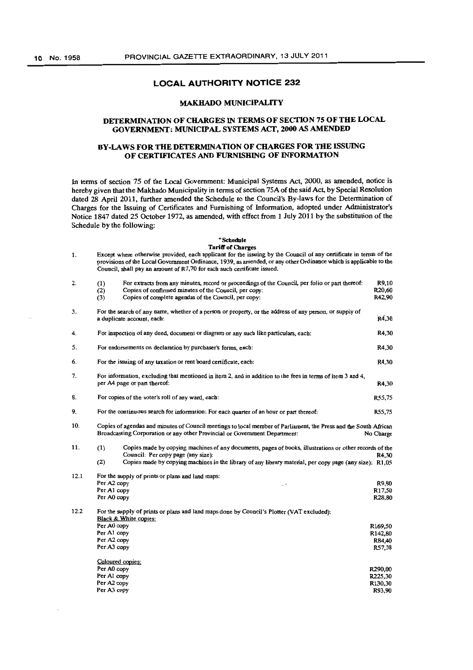#### MAKHADO MUNICIPALITY

## DETERMINATION OF CHARGES IN TERMS OF SECTION 75 OF THE LOCAL GOVERNMENT: MUNICIPAL SYSTEMS ACT, 2000 AS AMENDED

## BY-LAWS FOR THE DETERMINATION OF CHARGES FOR THE ISSUING OF CERTIFICATES AND FURNISHING OF INFORMATION

In terms of section 75 of the Local Government: Municipal Systems Act, 2000, as amended, notice is hereby given that the Makhado Municipality in terms of section 75A of the said Act, by Special Resolution dated 28 April 2011, further amended the Schedule to the Council's By-laws for the Determination of Charges for the Issuing of Certificates and Furnishing of Information, adopted under Administrator's Notice 1847 dated 25 October 1972, as amended, with effect from 1 July 2011 by the substitution of the Schedule by the following:

## "Scbedule

#### Tariff of Charges

| 1.   | Except where otherwise provided, each applicant for the issuing by the Council of any certificate in terms of the<br>provisions of the Local Government Ordinance, 1939, as amended, or any other Ordinance which is applicable to the<br>Council, shall pay an amount of R7,70 for each such certificate issued. |                                                                                                                                       |                      |  |  |
|------|-------------------------------------------------------------------------------------------------------------------------------------------------------------------------------------------------------------------------------------------------------------------------------------------------------------------|---------------------------------------------------------------------------------------------------------------------------------------|----------------------|--|--|
| 2.   | (1)                                                                                                                                                                                                                                                                                                               | For extracts from any minutes, record or proceedings of the Council, per folio or part thereof:                                       | R9,10                |  |  |
|      | (2)                                                                                                                                                                                                                                                                                                               | Copies of confirmed minutes of the Council, per copy:                                                                                 | R <sub>20</sub> ,60  |  |  |
|      | (3)                                                                                                                                                                                                                                                                                                               | Copies of complete agendas of the Council, per copy:                                                                                  | R42,90               |  |  |
| 3.   |                                                                                                                                                                                                                                                                                                                   | For the search of any name, whether of a person or property, or the address of any person, or supply of<br>a duplicate account, each: | R4,30                |  |  |
| 4.   |                                                                                                                                                                                                                                                                                                                   | For inspection of any deed, document or diagram or any such like particulars, each:                                                   | R4,30                |  |  |
| 5.   |                                                                                                                                                                                                                                                                                                                   | For endorsements on declaration by purchaser's forms, each:                                                                           | R4.30                |  |  |
| 6.   |                                                                                                                                                                                                                                                                                                                   | For the issuing of any taxation or rent board certificate, each:                                                                      | R4,30                |  |  |
| 7.   |                                                                                                                                                                                                                                                                                                                   | For information, excluding that mentioned in item 2, and in addition to the fees in terms of item 3 and 4,                            |                      |  |  |
|      |                                                                                                                                                                                                                                                                                                                   | per A4 page or part thereof:                                                                                                          | R4,30                |  |  |
| 8.   |                                                                                                                                                                                                                                                                                                                   | For copies of the voter's roll of any ward, each:                                                                                     | R55,75               |  |  |
| 9.   |                                                                                                                                                                                                                                                                                                                   | For the continuous search for information: For each quarter of an hour or part thereof:                                               | R55,75               |  |  |
| 10.  | Copies of agendas and minutes of Council meetings to local member of Parliament, the Press and the South African<br>Broadcasting Corporation or any other Provincial or Government Department:<br>No Charge                                                                                                       |                                                                                                                                       |                      |  |  |
| 11.  | (1)                                                                                                                                                                                                                                                                                                               | Copies made by copying machines of any documents, pages of books, illustrations or other records of the                               |                      |  |  |
|      |                                                                                                                                                                                                                                                                                                                   | Council: Per copy page (any size):                                                                                                    | R4.30                |  |  |
|      | (2)                                                                                                                                                                                                                                                                                                               | Copies made by copying machines in the library of any library material, per copy page (any size): R1,05                               |                      |  |  |
| 12.1 | For the supply of prints or plans and land maps:                                                                                                                                                                                                                                                                  |                                                                                                                                       |                      |  |  |
|      | Per A2 copy<br>$\ddot{\phantom{0}}$                                                                                                                                                                                                                                                                               |                                                                                                                                       |                      |  |  |
|      | Per A1 copy                                                                                                                                                                                                                                                                                                       |                                                                                                                                       |                      |  |  |
|      | Per A0 copy<br>R28,80                                                                                                                                                                                                                                                                                             |                                                                                                                                       |                      |  |  |
| 12.2 |                                                                                                                                                                                                                                                                                                                   | For the supply of prints or plans and land maps done by Council's Plotter (VAT excluded):<br>Black & White copies:                    |                      |  |  |
|      | Per A0 copy                                                                                                                                                                                                                                                                                                       |                                                                                                                                       | R <sub>169,50</sub>  |  |  |
|      | Per A1 copy                                                                                                                                                                                                                                                                                                       |                                                                                                                                       | R <sub>142,80</sub>  |  |  |
|      | Per A2 copy                                                                                                                                                                                                                                                                                                       |                                                                                                                                       | R84,40               |  |  |
|      |                                                                                                                                                                                                                                                                                                                   | Per A3 copy<br>R57,38                                                                                                                 |                      |  |  |
|      |                                                                                                                                                                                                                                                                                                                   | Coloured copies:                                                                                                                      |                      |  |  |
|      | Per A0 copy                                                                                                                                                                                                                                                                                                       |                                                                                                                                       | R290.00              |  |  |
|      | Per Al copy                                                                                                                                                                                                                                                                                                       |                                                                                                                                       | R225,30              |  |  |
|      | Per A2 copy                                                                                                                                                                                                                                                                                                       |                                                                                                                                       | R <sub>130</sub> ,30 |  |  |
|      | Per A3 copy                                                                                                                                                                                                                                                                                                       |                                                                                                                                       | R93,90               |  |  |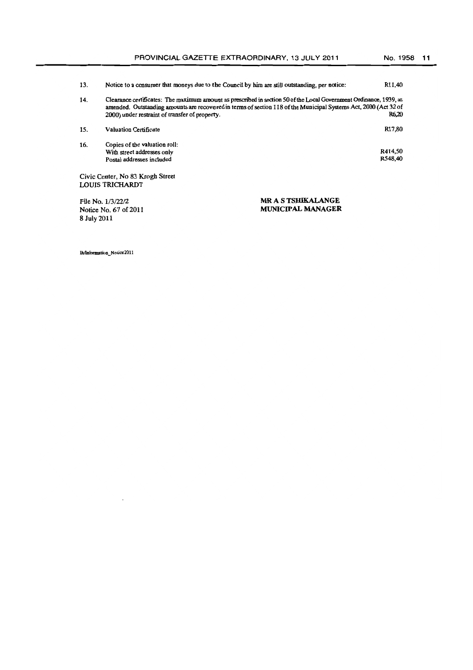| 13. | Notice to a consumer that moneys due to the Council by him are still outstanding, per notice:                                                                                                                                                                                            | R <sub>11</sub> ,40 |
|-----|------------------------------------------------------------------------------------------------------------------------------------------------------------------------------------------------------------------------------------------------------------------------------------------|---------------------|
| 14. | Clearance certificates: The maximum amount as prescribed in section 50 of the Local Government Ordinance, 1939, as<br>amended. Outstanding amounts are recovered in terms of section 118 of the Municipal Systems Act, 2000 (Act 32 of<br>2000) under restraint of transfer of property. | R6.20               |
| 15. | <b>Valuation Certificate</b>                                                                                                                                                                                                                                                             | R17.80              |

16. Copies of the valuation roll: With street addresses only Postal addresses included R414,50 R548,40

Civic Center, No 83 Krogh Street LOUIS TRICHARDT

File No. *1/3/2212*  Notice No. 67 of 2011 8 July 20ll

MR AS TSHIKALANGE MUNICIPAL MANAGER

lh/Information\_Notice2011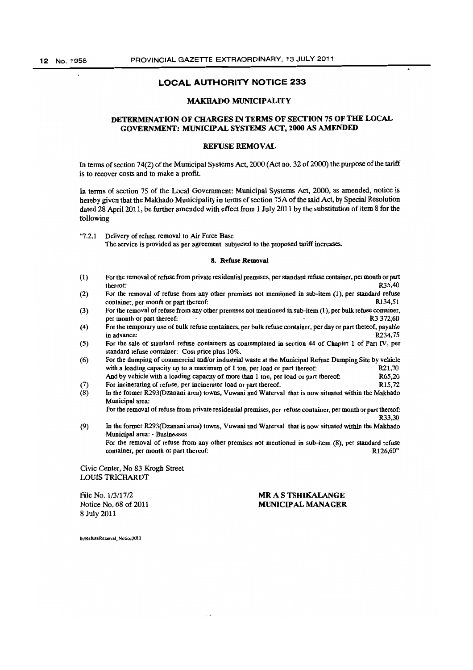## MAKHAOO MUNICIPALITY

## DETERMINATION OF CHARGES IN TERMS OF SECTION 75 OF THE LOCAL GOVERNMENT: MUNICIPAL SYSTEMS ACT. 2000 AS AMENDED

#### REFUSE REMOVAL

In terms of section 74(2) of the Municipal Systems Act, 2000 (Act no. 32 of 2000) the purpose of the tariff is to recover costs and to make a profit.

In terms of section 75 of the Local Government: Municipal Systems Act, 2000, as amended, notice is bereby given that the Makhado Municipality in terms of section 75A of the said Act, by Special Resolution dated 28 April 2011, be further amended with effect from 1 July 2011 by the substitution of item 8 for the following

"7.2.1 Delivery of refuse removal to Air Force Base The service is provided as per agreement subjected to the proposed tariff increases.

#### 8. Refuse Removal

- (1) For the removal of refuse from private residential premises, per standard refuse container, per month or part thereof:  $R35,40$
- (2) For the removal of refuse from any other premises not mentioned in sub-item (1), per standard refuse container, per month or part thereof: R134,51
- (3) For the removal of refuse from any other premises not mentioned in sub-item (1), per bulk refuse container,<br>ner month or part thereof: R3 372:60 per month or part thereof:
- (4) For the temporary use of bulk refuse containers, per bulk refuse container, per day or part thereof, payable in advance: R234,75
- (5) For the sale of standard refuse containers as contemplated in section 44 of Chapter 1 of Part IV, per standard refuse container: Cost price plus 10%.
- (6) For the dumping of commercial and/or industrial waste at the Municipal Refuse Dumping Site by vehicle<br>with a loading canacity up to a maximum of 1 top, per load or part thereof:<br>R21.70 with a loading capacity up to a maximum of 1 ton, per load or part thereof: R21,70<br>And by vehicle with a loading capacity of more than 1 ton, per load or part thereof: R65.20 And by vehicle with a loading capacity of more than 1 ton, per load or part thereof: R65,20<br>For incinerating of refuse, per incinerator load or part thereof: R15,72
- (7) For incinerating of refuse, per incinerator load or part thereof:<br>(8) In the former R293(Dzanani area) towns, Vuwani and Waterva
- In the former R293(Dzanani area) towns, Vuwani and Waterval that is now situated within the Makhado Municipal area:

For the removal of refuse from private residential premises, per refuse container, per month or part thereof: R33,30

(9) In tbe former R293(Dzanani area) towns, Vuwani and Waterval that is now situated within the Makhado Municipal area: - Businesses For the removal of refuse from any other premises not mentioned in sub-item  $(8)$ , per standard refuse container, per month or part thereof:  $R126.60$ " container, per month or part thereof:

Civic Center, No 83 Krogh Street LOUIS TRICHARDT

File No. 1/3/17/2 Notice No. 68 of 2011 8 July 2011

MR A S TSHIKALANGE MUNICIPAL MANAGER

lb/RefuseRemoval\_Notice2011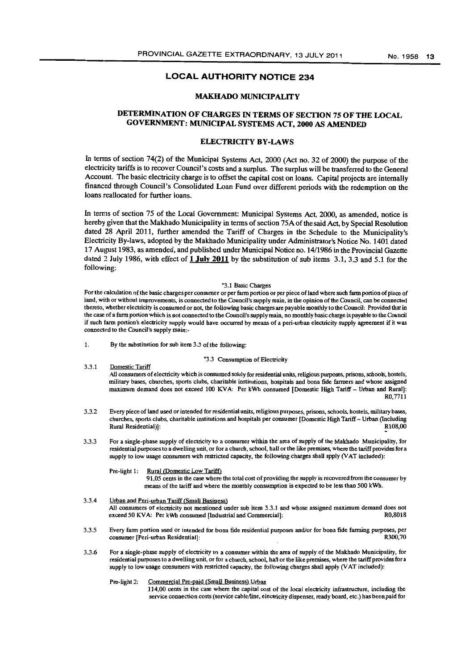#### MAKHADO MUNICIPALITY

## DETERMINATION OF CHARGES IN TERMS OF SECTION 75 OF THE LOCAL GOVERNMENT: MUNICIPAL SYSTEMS ACT, 2000 AS AMENDED

#### ELECTRICITY BY-LAWS

In terms of section 74(2) of the Municipal Systems Act. 2000 (Act no. 32 of 2000) the purpose of the electricity tariffs is to recover Council's costs and a surplus. The surplus will be transferred to the General Account. The basic electricity charge is to offset the capital cost on loans. Capital projects are internally financed througb Council's Consolidated Loan Fund over different periods with the redemption on the loans reallocated for further loans.

In terms of section 75 of the Local Government: Municipal Systems Act, 2000, as amended, notice is hereby given that the Makhado Municipality in terms of section 75A of the said Act. by Special Resolution dated 28 April 2011, further amended the Tariff of Charges in the Schedule to the Municipality's Electricity By-laws, adopted by the Makhado Municipality under Administrator's Notice No. 1401 dated 17 August 1983, as amended, and published under Municipal Notice no. 14/1986 in the Provincial Gazette dated 2 July 1986, with effect of 1 July 2011 by the substitution of sub items 3.1,3.3 and 5.1 for the following:

#### "3.1 Basic Charges

For the calculation of the basic charges per consumer or per farm portion or per piece of land where such farm portion of piece of land, with or without improvements, is connected to the Council's supply main, in the opinion of the Council, can be connected tbereto, whether electricity is consumed or not, the following basic charges are payable monthly to the Council: Provided that in the case of a farm portion which is not connected to the Council's supply main, no monthly basic charge is payable to the Council if sucb farm portion's electricity supply would bave occurred by means of a peri-urban electricity supply agreement if it was connected to the Council's supply main:-

1. By the substitution for sub item 3.3 of the fullowing:

#### "3.3 Consumption of Electricity

- 3.3.1 Domestic Tariff All consumers of electricity which is consumed solely for residential units, religious purposes, prisons, schools, hostels, military bases, churches, sports clubs, charitable institutions, hospitals and bona fide farmers and whose assigned maximum demand does not exceed 100 KVA: Per kWh consumed [Domestic High Tariff - Urban and Rural]: RO,7711
- 3.3.2 Every piece of land used or intended for residential units, religious purposes, prisons, schools, hostels, military bases, churches, sports clubs, charitable institutions and hospitals per consumer [Domestic High Tariff - Urban (Including Rural Residential)]:
- 3.3.3 For a single-phase supply of electricity to a consumer within the area of supply of the Makhado Municipality, for residential purposes to a dwelling unit, or for a church, school, hall or the like premises, where the tariff provides for a supply to low usage consumers with restricted capacity, the following charges shall apply (VAT included):

#### Pre-light 1: Rural (Domestic Low Tariff)

91,05 cents in the case wbere the total cost of providing tbe supply is recovered from the consumer by means of the tariff and where the monthly consumption is expected to be less than 500 kWh.

- 3.3.4 Urban and Peri-urban Tariff (Small Business) All consumers of electricity not mentioned under sub item 3.3.1 and whose assigned maximum demand does not exceed 50 KVA. Per kWh consumed Undustrial and Commercially exceed 50 KVA: Per kWh consumed [Industrial and Commercial]:
- 3.3.5 Every farm portion used or intended for bona fide residential purposes and/or for bona fide farming purposes, per consumer [Peri-urban Residential]:
- 3.3.6 For a single-phase supply of electricity to a consumer within the area of supply of the Makhado Municipality, for residential purposes to a dwelling unit, or for a church, school, hall or the like premises, where the tariff provides for a supply to low usage consumers with restricted capacity, the following charges sball apply (VAT included):

Pre-light 2: Commercial Pre-paid (SmaU Business) Urban

114,00 cents in the case where the capital cost of the local electricity infrastructure, including the service connection costs (service cable/line, electricity dispenser, ready board, etc.) has been paid for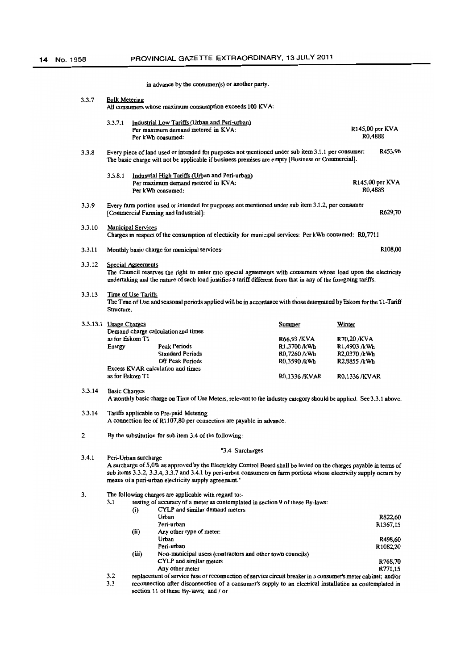|        |                                                                                                                                                                                                                                                                |  | in advance by the consumer(s) or another party.                                                           |         |                 |                                                                                                                     |        |                                                             |                 |
|--------|----------------------------------------------------------------------------------------------------------------------------------------------------------------------------------------------------------------------------------------------------------------|--|-----------------------------------------------------------------------------------------------------------|---------|-----------------|---------------------------------------------------------------------------------------------------------------------|--------|-------------------------------------------------------------|-----------------|
| 3.3.7  | <b>Bulk Metering</b><br>All consumers whose maximum consumption exceeds 100 KVA:                                                                                                                                                                               |  |                                                                                                           |         |                 |                                                                                                                     |        |                                                             |                 |
|        | 3.3.7.1                                                                                                                                                                                                                                                        |  | Industrial Low Tariffs (Urban and Peri-urban)<br>Per maximum demand metered in KVA:<br>Per kWh consumed:  |         |                 |                                                                                                                     |        | $R145,00$ per KVA<br>R <sub>0</sub> ,4888                   |                 |
| 3.3.8  | Every piece of land used or intended for purposes not mentioned under sub item 3.1.1 per consumer:<br>The basic charge will not be applicable if business premises are empty [Business or Commercial].                                                         |  |                                                                                                           | R453,96 |                 |                                                                                                                     |        |                                                             |                 |
|        | 3.3.8.1                                                                                                                                                                                                                                                        |  | Industrial High Tariffs (Urban and Peri-urban)<br>Per maximum demand metered in KVA:<br>Per kWh consumed: |         |                 |                                                                                                                     |        | R <sub>0</sub> ,4888                                        | R145,00 per KVA |
| 3.3.9  |                                                                                                                                                                                                                                                                |  | [Commercial Farming and Industrial]:                                                                      |         |                 | Every farm portion used or intended for purposes not mentioned under sub item 3.1.2, per consumer                   |        |                                                             | R629,70         |
| 3.3.10 | <b>Municipal Services</b>                                                                                                                                                                                                                                      |  |                                                                                                           |         |                 | Charges in respect of the consumption of electricity for municipal services: Per kWh consumed: R0,7711              |        |                                                             |                 |
| 3.3.11 |                                                                                                                                                                                                                                                                |  | Monthly basic charge for municipal services:                                                              |         |                 |                                                                                                                     |        |                                                             | <b>R108,00</b>  |
| 3.3.12 | <b>Special Agreements</b><br>The Council reserves the right to enter into special agreements with consumers whose load upon the electricity<br>undertaking and the nature of such load justifies a tariff different from that in any of the foregoing tariffs. |  |                                                                                                           |         |                 |                                                                                                                     |        |                                                             |                 |
| 3.3.13 | Time of Use Tariffs<br>Structure.                                                                                                                                                                                                                              |  |                                                                                                           |         |                 | The Time of Use and seasonal periods applied will be in accordance with those determined by Eskom for the T1-Tariff |        |                                                             |                 |
|        | 3.3.13.1 Usage Charges                                                                                                                                                                                                                                         |  | Demand charge calculation and times                                                                       |         |                 | Summer                                                                                                              | Winter |                                                             |                 |
|        | as for Eskom T1<br>Energy                                                                                                                                                                                                                                      |  | <b>Peak Periods</b><br><b>Standard Periods</b><br><b>Off Peak Periods</b>                                 |         |                 | R66,93 /KVA<br>R1,3700/kWh<br>R0,7260 /kWh<br>R0.3590 /kWh                                                          |        | R70,20 /KVA<br>R1,4903 /kWh<br>R2,0370 /kWh<br>R2,8855 /kWh |                 |
|        | as for Eskom T1                                                                                                                                                                                                                                                |  | Excess KVAR calculation and times                                                                         |         |                 | <b>R0,1336/KVAR</b>                                                                                                 |        | R0,1336/KVAR                                                |                 |
| 3.3.14 | <b>Basic Charges</b><br>A monthly basic charge on Time of Use Meters, relevant to the industry category should be applied. See 3.3.1 above.                                                                                                                    |  |                                                                                                           |         |                 |                                                                                                                     |        |                                                             |                 |
| 3.3.14 | Tariffs applicable to Pre-paid Metering<br>A connection fee of R1107,80 per connection are payable in advance.                                                                                                                                                 |  |                                                                                                           |         |                 |                                                                                                                     |        |                                                             |                 |
| 2.     |                                                                                                                                                                                                                                                                |  | By the substitution for sub item 3.4 of the following:                                                    |         |                 |                                                                                                                     |        |                                                             |                 |
|        |                                                                                                                                                                                                                                                                |  |                                                                                                           |         | "3.4 Surcharges |                                                                                                                     |        |                                                             |                 |
| 3.4.1  | Peri-Urban surcharge                                                                                                                                                                                                                                           |  |                                                                                                           |         |                 | A surcharge of 5,0% as approved by the Electricity Control Board shall be levied on the charges payable in terms of |        |                                                             |                 |

3. The following charges are applicable with regard to:- $3.1$  testing of accuracy of a meter as contemplat

means of a peri-urban electricity supply agreement."

testing of accuracy of a meter as contemplated in section 9 of these By-laws:

|     | $\left( i\right)$                                                                                            | CYLP and similar demand meters                            |                |
|-----|--------------------------------------------------------------------------------------------------------------|-----------------------------------------------------------|----------------|
|     |                                                                                                              | Urban                                                     | <b>R822.60</b> |
|     |                                                                                                              | Peri-urban                                                | R1367,15       |
|     | (ii)                                                                                                         | Any other type of meter.                                  |                |
|     |                                                                                                              | Urban                                                     | R498,60        |
|     |                                                                                                              | Peri-urban                                                | R1082.20       |
|     | (iii)                                                                                                        | Non-municipal users (contractors and other town councils) |                |
|     |                                                                                                              | CYLP and similar meters                                   | R768,70        |
|     |                                                                                                              | Any other meter                                           | R771.15        |
| 3.2 | replacement of service fuse or reconnection of service circuit breaker in a consumer's meter cabinet; and/or |                                                           |                |

3.3 reconnection after disconnection of a consumer's supply to an electrical installation as contemplated in section 11 of these By-laws; and / or

sub items 3.3.2, 3.3.4, 3.3.7 and 3.4.1 by peri-urban consumers on farm portions whose electricity supply occurs by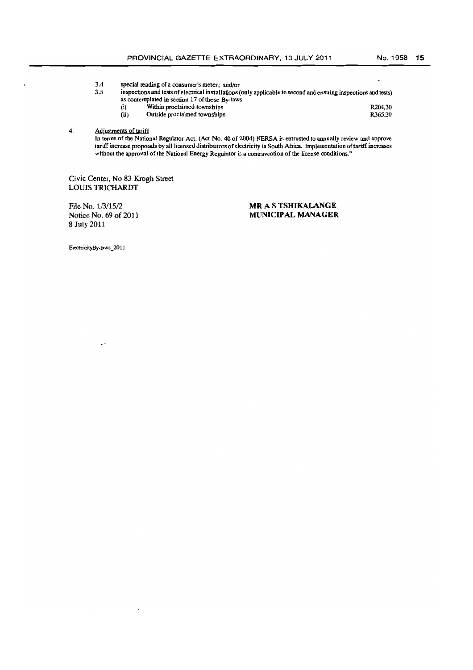- 3.4 special reading of a consumer's meter; and/or<br>3.5 inspections and tests of electrical installations (
	- inspections and tests of electrical installations (only applicable to second and ensuing inspections and tests) as contemplated in section 17 of these By-laws
		- (i) Within proclaimed townships R204,30
		- $(iii)$  Outside proclaimed townships R365,20

4. Adjustments of tariff

In terms of the National Regulator Act, (Act No. 40 of 2004) NERSA is entrusted to annually review and approve tariff increase proposals by all licensed distributors of electricity in Soutb Africa. Implementation of tariff increases without the approval of the National Energy Regulator is a contravention of the license conditions."

Civic Center, No 83 Krogh Street LOUIS TRICHARDT

File No. 1/3/15/2 Notice No. 69 of 2011 8 July 2011

## **MR** A S **TSHIKALANGE MUNICIPAL MANAGER**

ElcctridtyBy-laws\_2011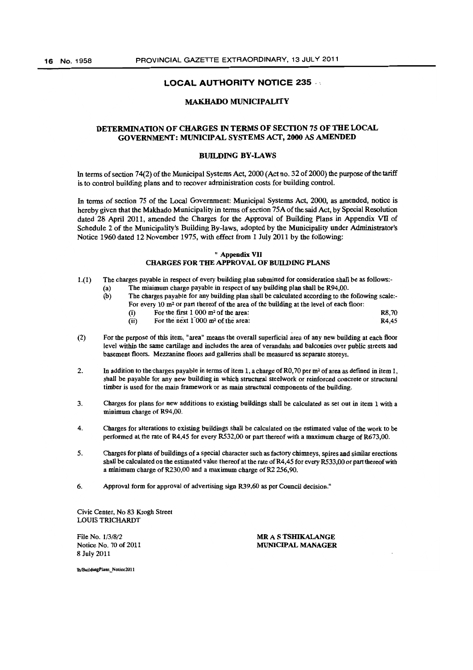## MAKHADO MUNICIPALITY

## DETERMINATION OF CHARGES IN TERMS OF SECTION 75 OF THE LOCAL GOVERNMENT: MUNICIPAL SYSTEMS ACT, 2000 AS AMENDED

#### **BUILDING BY-LAWS**

In terms of section 74(2) of the Municipal Systems Act, 2000 (Act no. 32 of 2000) the purpose of the tariff is to control building plans and to recover administration costs for building controL

In terms of section 75 of tbe Local Government: Municipal Systems Act, 2000, as amended, notice is hereby given that the Makhado Municipality in terms of section 75A of the said Act, by Special Resolution dated 28 April 2011, amended the Charges for the Approval of Building Plans in Appendix VII of Schedule 2 of the Municipality's Building By-laws, adopted by the Municipality under Administrator's Notice 1960 dated 12 November 1975, with effect from 1 July 2011 by the following:

#### " Appendix VII CHARGES FOR THE APPROVAL OF BUILDING PLANS

- 1.(1) The charges payable in respect of every building plan submitted for consideration shall be as follows:-(a) The minimum charge payable in respect of any building plan shall be R94,OO.
	- (b) The charges payable for any building plan sball be calculated according to the following scale:-
		- For every 10 m<sup>2</sup> or part thereof of the area of the building at the level of each floor: (i) For the first  $1\,000\,\mathrm{m}^2$  of the area: R8,70
		- (ii) For the next  $1\overline{000}$  m<sup>2</sup> of the area: R4,45
- (2) For the purpose of this item, "area" means the overall superficial area of any new building at each floor level within the same cartilage and includes the area of verandahs and balconies over public streets and basement floors, Mezzanine floors and galleries shall be measured as separate storeys.
- 2. In addition to the charges payable in terms of item 1, a charge of R0,70 per  $m^2$  of area as defined in item 1, shall be payable for any new building in which structural steelwork or reinforced concrete or structural timber is used for the main framework or as main structural components of the building.
- 3. Charges for plans for new additions to existing buildings shall be calculated as set out in item 1 with a minimum charge of R94,00,
- 4. Charges for alterations to existing buildings shall be calculated on the estimated value of the work to be performed at the rate of R4,45 for every R532,00 or part thereof with a maximum charge of R673,00.
- 5. Charges for plans of buildings of a special character such as factory chimneys, spires and similar erections shall be calculated on the estimated value thereof at the rate of R4,45 for every R533,00 or part thereof with a minimum charge of R230,00 and a maximum charge of R2 256,90,
- 6. Approval form for approval of advertising sign R39,60 as per Council decision,"

Civic Center, No 83 Krogh Street LOUIS TRJCHARDT

File No. *1/3/8/2*  Notice No. 70 of 2011 8 July 2011

MR A S TSHIKALANGE MUNICIPAL MANAGER

Ih/BuildingPlans Notice2011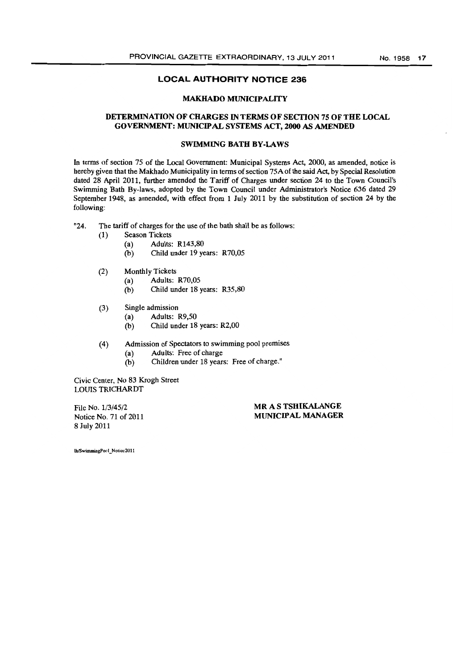#### MAKHADO MUNICIPALITY

## DETERMINATION OF CHARGES IN TERMS OF SECTION 75 OF THE LOCAL GOVERNMENT: MUNlCIP AL SYSTEMS ACT, 2000 AS AMENDED

## SWIMMING BATH BY-LAWS

In terms of section 75 of the Local Government: Municipal Systems Act, 2000, as amended, notice is hereby given that the Makhado Municipality in terms of section 75A of the said Act, by Special Resolution dated 28 April 2011, further amended the Tariff of Charges under section 24 to the Town Council's Swimming Bath By-laws, adopted by the Town Council under Administrator's Notice 636 dated 29 September 1948, as amended, with effect from 1 July 2011 by the substitution of section 24 by the following:

"24. The tariff of charges for the use of the bath shall be as follows:

- (1) Season Tickets
	- (a) Adults: R143,80
	- (b) Child under 19 years: R70,05
- (2) Monthly Tickets
	- (a) Adults: R70,05
	- (b) Child under 18 years: R35,80
- (3) Single admission
	- (a) Adults: R9,50
	- (b) Child under 18 years: R2,OO
- (4) Admission of Spectators to swimming pool premises
	- (a) Adults: Free of charge
	- (b) Children under 18 years: Free of charge."

Civic Center, No 83 Krogh Street LOmS TRICHARDT

File No. 1/3/45/2 Notice No. 71 of 2011 8 July 2011

MR A S TSHIKALANGE MUNICIPAL MANAGER

lh/SwimmingPorl\_Notice2011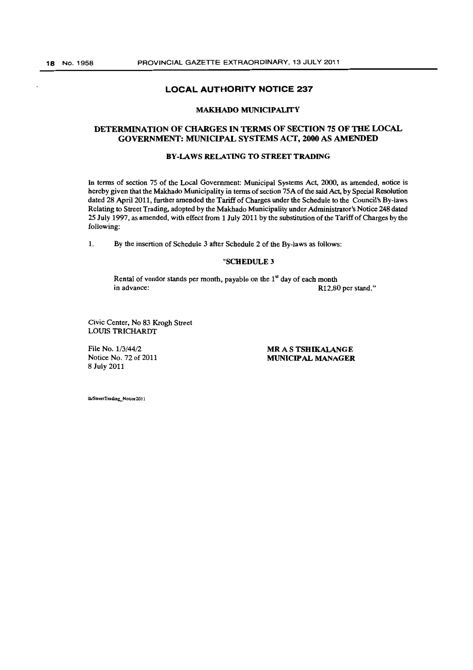#### MAKHADO MUNICIPALITY

## DETERMINATION OF CHARGES IN TERMS OF SECTION 75 OF THE LOCAL GOVERNMENT: MUNICIPAL SYSTEMS ACT, 2000 AS AMENDED

#### BY-lAWS RELATING TO STREET TRADING

In terms of section 75 of the Local Government: Municipal Systems Act, 2000, as amended, notice is hereby given that the Makhado Municipality in terms of section *75A* of the said Act, by Special Resolution dated 28 April 2011, further amended the Tariff of Charges under the Schedule to the Council's By-laws Relating to Street Trading. adopted by the Makhado Municipality under Administrator's Notice 248 dated 25 July 1997, as amended, with effect from 1 July 2011 by the substitution of the Tariff of Charges by the following:

1. By the insertion of Schedule 3 after Schedule 2 of the By-laws as follows:

#### "SCHEDULE 3

Rental of vendor stands per month, payable on the  $1<sup>st</sup>$  day of each month in advance: R12,80 per stand."

Civic Center, No 83 Krogh Street LOUIS TRICHARDT

File No. *1/3/44/2*  Notice No. 72 of 2011 8 July 2011

MR A S TSHIKALANGE MUNICIPAL MANAGER

lh/StreetTrading Notice2011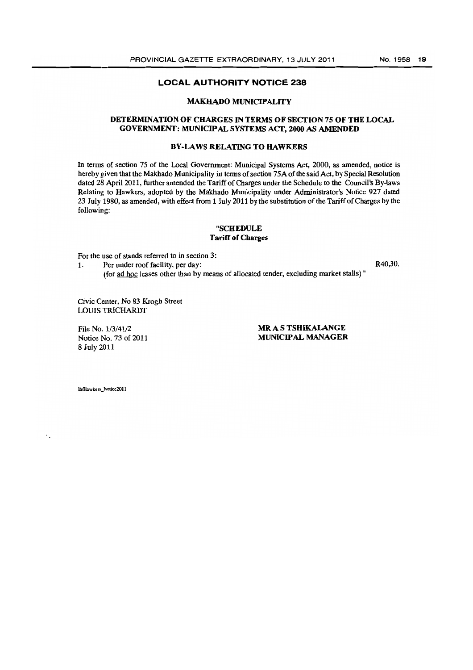#### MAKBADO MUNICIPALITY

## DETERMINATION OF CHARGES IN TERMS OF SECTION 75 OF THE LOCAL GOVERNMENT: MUNICIPAL SYSTEMS ACT, 2000 AS AMENDED

## BY-LAWS RELATING TO HAWKERS

In terms of section 75 of the Local Government: Municipal Systems Act, 2000, as amended, notice is hereby given that the Makhado Municipality in terms of section 75A of the said Act., by Special Resolution dated 28 April 2011, further amended the Tariff of Charges under the Schedule to the Council's By-laws Relating to Hawkers, adopted by the Makhado Municipality under Administrator's Notice 927 dated 23 July 1980, as amended, with effect from 1 July 2011 by the substitution of the Tariff of Charges by the following:

#### "SCHEDULE Tariff or Cbarges

For the use of stands referred to in section 3:

1. Per under roof facility, per day: R40,30. (for ad hoc leases other than by means of allocated tender, excluding market stalls) "

Civic Center, No 83 Krogh Street LOUIS TRICHARDT

File No. 1/3/41/2 Notice No. 73 of 2011 8 July 2011

MR A S TSHIKALANGE MUNICIPAL MANAGER

lh/Hawkers Notice2011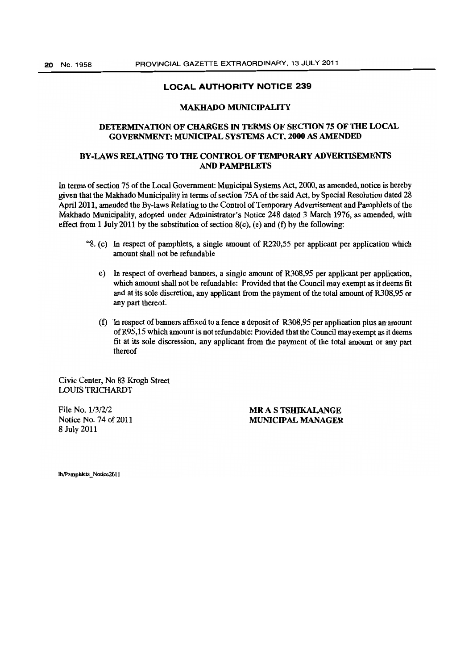#### MAKHADO MUNICIPALITY

## DETERMINATION OF CHARGES IN TERMS OF SECTION 75 OF THE LOCAL GOVERNMENT: MUNICIPAL SYSTEMS ACT, 2000 AS AMENDED

## BY -LAWS RElATING TO THE CONTROL OF TEMPORARY ADVERTISEMENTS AND PAMPHLETS

In terms of section 75 of the Local Government: Municipal Systems Act, 2000, as amended, notice is hereby given that the Makhado Municipality in terms of section 75A of the said Act, by Special Resolution dated 28 April 2011, amended the By-laws Relating to the Control of Temporary Advertisement and Pamphlets of the Makhado Municipality, adopted under Administrator's Notice 248 dated 3 March 1976, as amended, with effect from 1 July 2011 by the substitution of section  $8(c)$ , (e) and (f) by the following:

- "S. (c) In respect of pamphlets, a single amount of R220,55 per applicant per application which amount shall not be refundable
	- e) In respect of overhead banners, a single amount of R30S,95 per applicant per application, which amount shall not be refundable: Provided that the Council may exempt as it deems fit and at its sole discretion, any applicant from the payment of the total amount of R30S,95 or any part thereof.
	- (f) In respect of banners affixed to a fence a deposit of  $R308,95$  per application plus an amount of R95,15 which amount is not refundable: Provided that the Council may exempt as it deems fit at its sole discression, any applicant from the payment of the total amount or any part thereof

Civic Center, No 83 Krogh Street LOUIS TRICHARDT

File No. 1/3/2/2 Notice No. 74 of 2011 S July 2011

MR AS TSHIKALANGE MUNICIPAL MANAGER

lh/Pamphlets Notice2011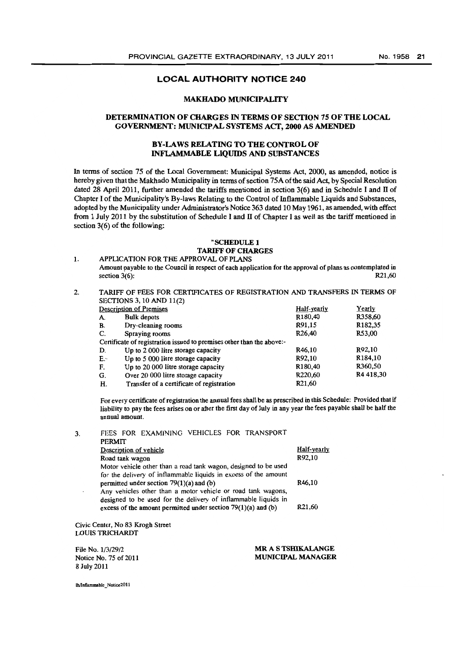#### MAKHADO MUNICIPALITY

## DETERMINATION OF CHARGES IN TERMS OF SECfION 7S OF THE LOCAL GOVERNMENT: MUNICIPAL SYSTEMS ACf, 2000 AS AMENDED

## BY-LAWS RELATING TO THE CONTROL OF INFLAMMABLE LIQUIDS AND SUBSTANCES

In terms of section 75 of the Local Government: Municipal Systems Act, 2000, as amended, notice is hereby given that the Makhado Municipality in terms of section 75A of the said Act, by Special Resolution dated 28 April 2011, further amended the tariffs mentioned in section  $3(6)$  and in Schedule I and II of Chapter I of the Municipality's By-laws Relating to the Control of Inflammable Liquids and Substances, adopted by the Municipality under Administrator's Notice 363 dated 10 May 1961, as amended, with effect from 1 July 2011 by the substitution of Schedule I and  $\Pi$  of Chapter I as well as the tariff mentioned in section 3(6) of the following:

#### "SCHEDULE 1 TARIFF OF CHARGES

1. APPUCATION FOR THE APPROVAL OF PlANS

- Amount payable to the Council in respect of each application for the approval of plans as contemplated in section  $3(6)$ : R21,60
- 2. TARIFF OF FEES FOR CERTIFICATES OF REGISTRATION AND TRANSFERS IN TERMS OF SECTIONS 3,10 AND 11(2)

|    | <b>Description of Premises</b>                                        | Half-yearly         | Yearly    |
|----|-----------------------------------------------------------------------|---------------------|-----------|
| A. | <b>Bulk</b> depots                                                    | R180,40             | R358,60   |
| В. | Dry-cleaning rooms                                                    | R91,15              | R182,35   |
| C. | Spraving rooms                                                        | R <sub>26</sub> ,40 | R53,00    |
|    | Certificate of registration issued to premises other than the above:- |                     |           |
| D. | Up to 2 000 litre storage capacity                                    | R46.10              | R92,10    |
| E۰ | Up to 5 000 litre storage capacity                                    | R92.10              | R184,10   |
| F. | Up to 20 000 litre storage capacity                                   | R <sub>180,40</sub> | R360,50   |
| G. | Over 20 000 litre storage capacity                                    | R220.60             | R4 418,30 |
| Н. | Transfer of a certificate of registration                             | R <sub>21.60</sub>  |           |

For every certificate of registration the annual fees shall be as prescribed in this Schedule: Provided that if liability to pay the fees arises on or after the first day of July in any year the fees payable shall be half the annual amount.

3. FEES FOR EXAMINING VEHICLES FOR TRANSPORT PERMIT Description of vehicle Road tank: wagon Motor vehicle other than a road tank wagon, designed to be used for the delivery of inflammable liquids in excess of the amount permitted under section  $79(1)(a)$  and  $(b)$ Any vehicles other than a motor vehicle or road tank wagons, designed to be used for the delivery of inflammable liquids in excess of the amount permitted under section  $79(1)(a)$  and (b) Civic Center, No 83 Krogh Street LOUIS TRICHARDT Half-yearly R92,10 R46,1O R21,60 File No. 1/3/29/2 MR A S TSHIKALANGE

Notice No. 75 of 2011 8 July 2011 MUNICIPAL MANAGER

lh/Inflammable\_Notice2011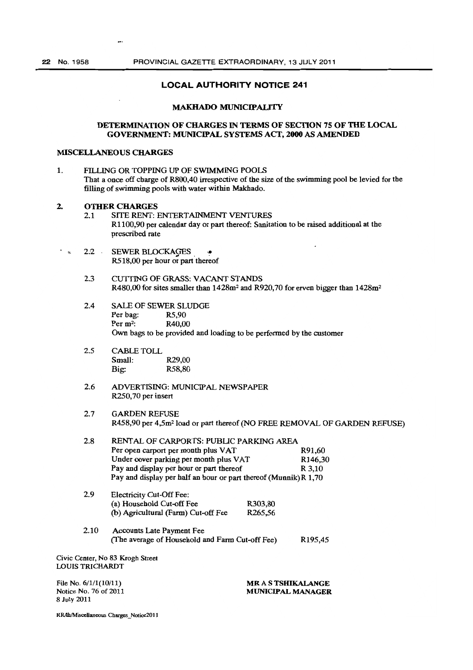#### MAKHADO MUNlCIPAUTY

#### DETERMINATION OF CHARGES IN TERMS OF SECTION 75 OF THE LOCAL GOVERNMENT: MUNICIPAL SYSTEMS ACT, 2000 AS AMENDED

#### **MISCELLANEOUS CHARGES**

1. FILLING OR TOPPING UP OF SWIMMING POOLS That a once off charge of R800,40 irrespective of the size of the swimming pool be levied for the filling of swimming pools with water within Makhado.

# 2. **OTHER CHARGES**<br>2.1 SITE RENT:

- SITE RENT: ENTERTAINMENT VENTURES RllOO,90 per calendar day or part thereof: Sanitation to be raised additional at the prescribed rate
- 2.2 SEWER BLOCKAGES R518,00 per hour or part thereof
	- 2.3 CUTfING OF GRASS: VACANT STANDS R480,00 for sites smaller than 1428m<sup>2</sup> and R920,70 for erven bigger than 1428m<sup>2</sup>
	- 2.4 SALE OF SEWER SLUDGE Per bag: R5,90 Per m2: R40,OO Own bags to be provided and loading to be performed by the customer
	- 2.5 CABLE TOLL Small: R29,OO Big.: RS8,80
	- 2.6 ADVERTISING: MUNICIPAL NEWSPAPER R250,70 per insert
	- 2,7 GARDEN REFUSE R458,90 per 4,5m2 10ad or part thereof (NO FREE REMOVAL OF GARDEN REFUSE)

| 2.8                     | RENTAL OF CARPORTS: PUBLIC PARKING AREA                          |                          |                       |
|-------------------------|------------------------------------------------------------------|--------------------------|-----------------------|
|                         | Per open carport per month plus VAT                              |                          | R91.60                |
|                         | Under cover parking per month plus VAT                           |                          | R <sub>146</sub> , 30 |
|                         | Pay and display per hour or part thereof                         |                          | R 3,10                |
|                         | Pay and display per half an hour or part thereof (Munnik) R 1,70 |                          |                       |
| 2.9                     | <b>Electricity Cut-Off Fee:</b>                                  |                          |                       |
|                         | (a) Household Cut-off Fee                                        | R303,80                  |                       |
|                         | (b) Agricultural (Farm) Cut-off Fee                              | R265.56                  |                       |
| 2.10                    | <b>Accounts Late Payment Fee</b>                                 |                          |                       |
|                         | (The average of Household and Farm Cut-off Fee)                  |                          | R <sub>195</sub> ,45  |
|                         | Civic Center, No 83 Krogh Street                                 |                          |                       |
| <b>LOUIS TRICHARDT</b>  |                                                                  |                          |                       |
| File No. $6/1/1(10/11)$ |                                                                  | MR A S TSHIKALANGE       |                       |
| Notice No. 76 of 2011   |                                                                  | <b>MUNICIPAL MANAGER</b> |                       |
| 8 July 2011             |                                                                  |                          |                       |

RR/lh/Miscellaneous Charges\_Notice2011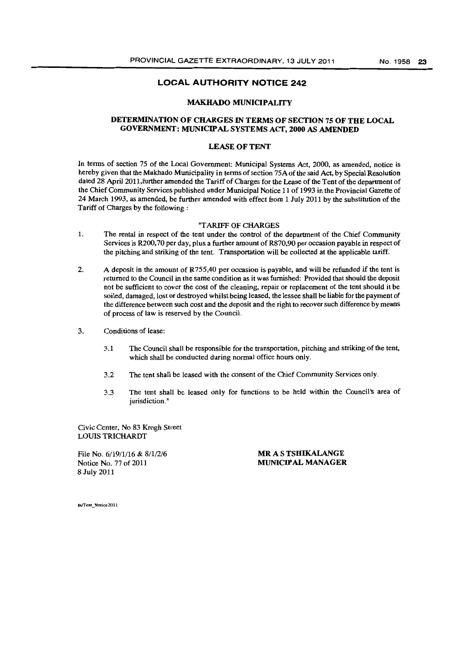#### MAKHADO MUNICIPALITY

## DETERMINATION OF CHARGES IN TERMS OF SECTION 75 OF THE LOCAL GOVERNMENT: MUNICIPAL SYSTEMS ACf, 2000 AS AMENDED

#### LEASE OF TENT

In terms of section 75 of the Local Government: Municipal Systems Act, 2000, as amended, notice is hereby given that the Makhado Municipality in terms of section 75A of the said Act, by Special Resolution dated 28 April 2011,further amended the Tariff of Charges for the Lease of the Tent of the department of the Chief Community Services published under Municipal Notice 11 of 1993 in the Provincial Gazette of 24 March 1993, as amended, be further amended with effect from 1 July 2011 by the substitution of the Tariff of Charges by the following:

#### "TARIFF OF CHARGES

- 1. The rental in respect of the tent under the control of the department of the Chief Community Services is R200,70 per day, plus a further amount of R870,90 per occasion payable in respect of the pitching and striking of the tent. Transportation will be collected at the applicable tariff.
- 2. A deposit in the amount of R755,40 per occasion is payable, and will be refunded if the tent is returned to the Council in the same condition as it was furnished: Provided that should the deposit not be sufficient to cover the cost of the cleaning, repair or replacement of the tent should it be soiled, damaged, lost or destroyed whilst being leased, the lessee shall be liable for the payment of the difference between such cost and the deposit and the right to recover such difference by means of process of law is reserved by the Council.
- 3. Conditions of lease:
	- 3.1 The Council shall be responsible for the transportation, pitching and striking of the tent, which shall be conducted during normal office hours only.
	- 3.2 The tent shall be leased with the consent of the Chief Community Services only.
	- 3.3 The tent shall be leased only for functions to be held within the Council's area of jurisdiction."

Civic Center, No 83 Krogh Street LOUIS TRICHARDT

File No. 6/19/1/16 & 8/1/2/6 Notice No. 77 of 2011 8 July 2011

MR A S TSHIKALANGE MUNICIPAL MANAGER

Ih/Tent Notice 2011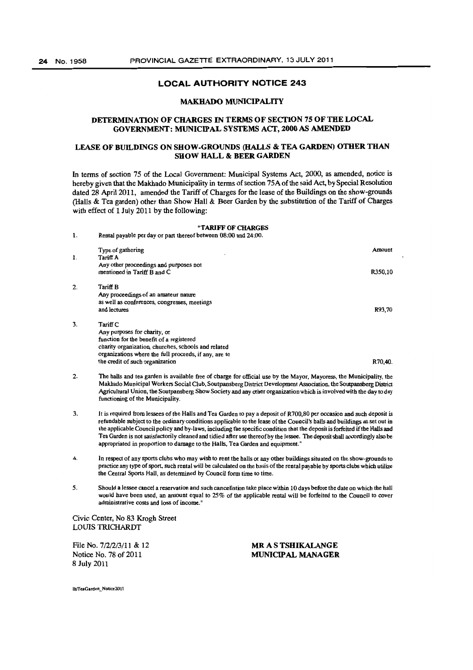## MAKHADO MUNICIPALITY

## DETERMINATION OF CHARGES IN TERMS OF SECTION *7S* OF THE LOCAL GOVERNMENT: MUNICIPAL SYSTEMS ACT, 2000 AS AMENDED

## LEASE OF BUILDINGS ON SHOW·GROUNDS (HALLS & TEA GARDEN) OTHER THAN SHOW HALL & BEER GARDEN

In terms of section 75 of the Local Government: Municipal Systems Act, 2000, as amended, notice is hereby given that the Makhado Municipality in terms of section 75A of the said Act, by Special Resolution dated 28 April 2011, amended the Tariff of Charges for the lease of the Buildings on the show-grounds (Halls & Tea garden) other than Show Hall & Beer Garden by the substitution of the Tariff of Charges with effect of 1 July 2011 by the following:

#### "TARIFF OF CHARGES 1. Rental payable per day or part thereof between 08:00 and 24:00.

|    | Type of gathering<br>Tariff A                                                                                                                                                                        | Amount  |
|----|------------------------------------------------------------------------------------------------------------------------------------------------------------------------------------------------------|---------|
| 1. | Any other proceedings and purposes not<br>mentioned in Tariff B and C                                                                                                                                | R350,10 |
| 2. | <b>Tariff B</b><br>Any proceedings of an amateur nature<br>as well as conferences, congresses, meetings<br>and lectures                                                                              | R93,70  |
| 3. | Tariff C<br>Any purposes for charity, or<br>function for the benefit of a registered<br>charity organization, churches, schools and related<br>organizations where the full proceeds, if any, are to |         |
|    | the credit of such organization                                                                                                                                                                      | R70.40. |

- 2. The halls and tea garden is available free of charge for official use by the Mayor, Mayoress, the Municipality, tbe Makbado Municipal Workers Social Club, Soutpansberg District Development Association, the Soutpansberg District Agricultural Union, the Soutpansberg Sbow Society and any other organization wbich is involved with the day to day functioning of the Municipality.
- 3. It is required from lessees of tbe Halls and Tea Garden to pay a deposit of R700,80 per occasion and such deposit is refundable subject to the ordinary conditions applicable to the lease of the Council's halls and buildings as set out in the applicable Council policy and by-laws, including the specific condition tbat the deposit is forfeited if the Halls and Tea Garden is not satisfactorily cleaned and tidied after use thereof by tbe lessee. The deposit shall accordingly also be appropriated in proportion to damage to the Halls, Tea Garden and equipment."
- 4. In respect of any sports clubs who may wish to rent the halls or any other buildings situated on the show-grounds to practice any type of sport, such rental will be calcuJated on the basis of the rental payable by sports clubs which utilize the Central Sports Hall, as detennined by Council form time to time.
- 5. Should a lessee cancel a reservation and such cancellation take place within 10 days before the date on whicb tbe hall would bave been used, an amount equal to 25% of the applicable rental will be forfeited to tbe Council to cover administrative costs and loss of income."

#### Civic Center, No 83 Krogh Street LOUIS TRICHARDT

File No. 7/2/2/3/11 & 12 Notice No. 78 of 2011 8 July 2011

#### MR A S TSHIKALANGE MUNICIPAL MANAGER

lh/TeaGarden\_Notice2011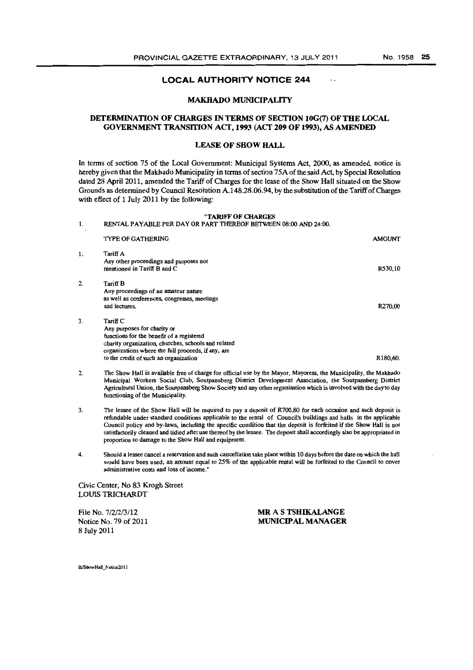$\ddot{\phantom{a}}$ 

## **LOCAL AUTHORITY NOTICE 244**

#### MAKHADO MUNICIPALITY

## DETERMINATION OF CHARGES IN TERMS OF SECTION 10G(7) OF THE LOCAL GOVERNMENT TRANSITION ACT, 1993 (ACT 209 OF 1993), AS AMENDED

#### LEASE OF SHOW HALL

In terms of section 75 of the Local Government: Municipal Systems Act, 2000, as amended, notice is hereby given that the Makhado Municipality in terms of section 75A of the said Act, by Special Resolution dated 28 April 2011, amended the Tariff of Charges for the lease of the Show Hall situated on the Show Grounds as detennined by Council Resolution A148.28.06.94, by the substitution of the Tariff of Charges with effect of 1 July 2011 by the following:

#### "TARIFF OF CHARGES 1. RENTAL PAYABLE PER DAY OR PART TIlEREOF BETWEEN 08:00 AND 24:00. TYPE OF GATHERING 1. Tariff A Any other proceedings and purposes not mentioned in Tariff B and C 2. Tariff B 3. Any proceedings of an amateur nature as well as conferences, congresses, meetings and lectures. Tariff<sub>C</sub> Any purposes for charity or functions for the benefit of a registered charity organization, churches, schools and related organizations where the fuU proceeds, if any, are to the credit of such an organization AMOUNT R530,10 R270,oo R180,60. 2. The Show Hall is available free of charge for official use by the Mayor, Mayoress, the Municipality, the Makhado

- Municipal Workers Social Club, Soutpansberg District Development Association, the Soutpansberg District Agricultural Union, the Soutpansberg Show Society and any other organisation which is involved with the day to day functioning of the Municipality.
- 3. The lessee of the Show Hall will be required to pay a deposit of R700,80 for each occasion and such deposit is refundable under standard conditions applicable to the rental of Council's buildings and halls in the applicable Council policy and by-laws, including the specific condition that the deposit is forfeited if the Show Hall is not satisfactorily cleaned and tidied after use thereof by the lessee. The deposit shall accordingly also be appropriated in proportion to damage to the Show Hall and equipment.
- 4. Should a lessee cancel a reservation and such cancellation take place within 10 days before the date on which the hall would have been used, an amount equal to 25% of the applicable rental will be forfeited to the Council to cover administrative costs and loss of income. "

Civic Center, No 83 Krogb Street LOUIS TRICHARDT

File No. 7/2/2/3/12 Notice No. 79 of 2011 8 July 2011

MR A S TSHIKALANGE MUNICIPAL MANAGER

lh/ShowHall Notice2011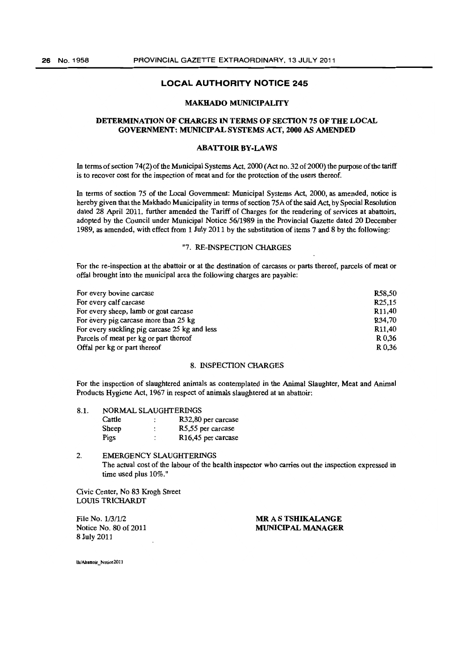#### MAKHADO MUNICIPALITY

## DETERMINATION OF CHARGES IN TERMS OF SECTION 75 OF THE LOCAL GOVERNMENT: MUNICIPAL SYSTEMS ACT, 2000 AS AMENDED

#### **ABATTOIR BY-LAWS**

In terms of section 74(2) of the Municipal Systems Act, 2000 (Act no. 32 of 2000) the purpose of the tariff is to recover cost for the inspection of meat and for the protection of the users thereof.

In terms of section 75 of the Local Government: Municipal Systems Act, 2000, as amended, notice is hereby given that the Makhado Municipality in terms of section *75A* of the said Act, by Special Resolution dated 28 April 2011, further amended the Tariff of Charges for the rendering of services at abattoirs, adopted by the Council under Municipal Notice 56/1989 in the Provincial Gazette dated 20 December 1989, as amended, with effect from 1 July 2011 by the substitution of items 7 and 8 by the following:

#### "7. RE-INSPECTlON CHARGES

For the fe-inspection at the abattoir or at the destination of carcases or parts thereof, parcels of meat or offal brought into the municipal area the following charges are payable:

| For every bovine carcase                      | R58.50              |
|-----------------------------------------------|---------------------|
| For every calf carcase                        | R <sub>25</sub> ,15 |
| For every sheep, lamb or goat carcase         | R <sub>11,40</sub>  |
| For every pig carcase more than 25 kg         | R34.70              |
| For every suckling pig carcase 25 kg and less | R <sub>11</sub> ,40 |
| Parcels of meat per kg or part thereof        | R 0.36              |
| Offal per kg or part thereof                  | R 0.36              |

## 8. INSPECfION CHARGES

For the inspection of slaughtered animals as contemplated in the Animal Slaughter, Meat and Animal Products Hygiene Act, 1967 in respect of animals slaughtered at an abattoir:

| 8.1. | NORMAL SLAUGHTERINGS |                      |                                 |  |
|------|----------------------|----------------------|---------------------------------|--|
|      | Cattle               |                      | R32,80 per carcase              |  |
|      | <b>Sheep</b>         | $\ddot{\phantom{a}}$ | R5,55 per carcase               |  |
|      | Pigs                 | ٠                    | R <sub>16</sub> ,45 per carcase |  |

#### 2. EMERGENCY SLAUGHTERINGS The actual cost of the labour of the health inspector who carries out the inspection expressed in time used plus 10%."

Civic Center, No 83 Krogh Street LOUIS TRICHARDT

File No. 1/3/1/2 Notice No. 80 of 2011 8 July 2011

MR A S TSHIKALANGE MUNICIPAL MANAGER

lh/Abattoir Notice2011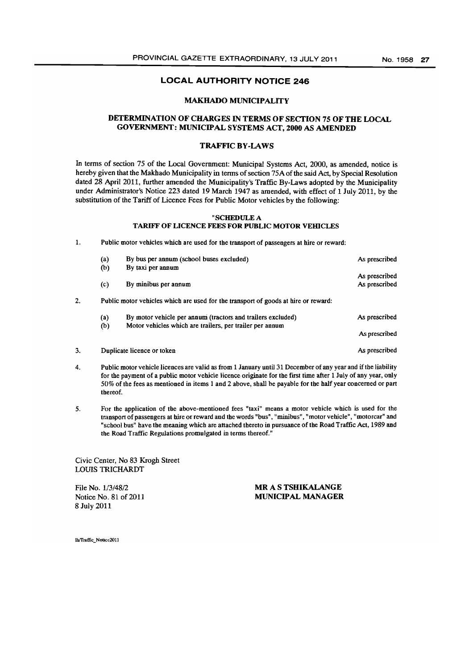#### MAKHADO MUNICIPALITY

## DETERMINATION OF CHARGES IN TERMS OF SECTION 75 OF THE LOCAL GOVERNMENT: MUNICIPAL SYSTEMS ACT, 2000 AS AMENDED

## TRAFFIC BY-LAWS

In terms of section 75 of the Local Government: Municipal Systems Act, 2000, as amended, notice is hereby given that the Makhado Municipality in terms of section 75A of the said Act, by Special Resolution dated 28 April 2011, further amended the Municipality's Traffic By-Laws adopted by the Municipality under Administrator's Notice 223 dated 19 March 1947 as amended, with effect of 1 July 2011, by the substitution of the Tariff of Licence Fees for Public Motor vehicles by the following:

#### "SCHEDULE A TARIFF OF LICENCE FEES FOR PUBLIC MOTOR VEHICLES

1. Public motor vehicles which are used for the transport of passengers at hire or reward:

|    | (a)                         | By bus per annum (school buses excluded)                                           | As prescribed                  |
|----|-----------------------------|------------------------------------------------------------------------------------|--------------------------------|
|    | $\boldsymbol{\mathrm{(b)}}$ | By taxi per annum                                                                  |                                |
|    | $\left( c\right)$           | By minibus per annum                                                               | As prescribed<br>As prescribed |
|    |                             | Public motor vehicles which are used for the transport of goods at hire or reward: |                                |
|    | (a)                         | By motor vehicle per annum (tractors and trailers excluded)                        | As prescribed                  |
|    | (b)                         | Motor vehicles which are trailers, per trailer per annum                           | As prescribed                  |
| 3. |                             | Duplicate licence or token                                                         | As prescribed                  |

- 4. Public motor vehicle licences are valid as from 1 January until 31 December of any year and if the liability for the payment of a public motor vehicle licence originate for the fust time after 1 July of any year, only 50% of the fees as mentioned in items 1 and 2 above, shall be payable for the half year concerned or part thereof.
- 5. For the application of the above-mentioned fees "taxi" means a motor vehicle which is used for the transport of passengers at hire or reward and the words "bus", "minibus", "motor vehicle", "motorcar" and "school bus" have the meaning which are attached thereto in pursuance of the Road Traffic Act, 1989 and the Road Traffic Regulations promulgated in terms thereof."

Civic Center, No 83 Krogh Street LOUIS TRICHARDT

File No. 1/3/48/2 Notice No. 81 of 2011 8 July 2011

MR A S TSHIKALANGE MUNICIPAL MANAGER

lh/Traffic Notice2011

3.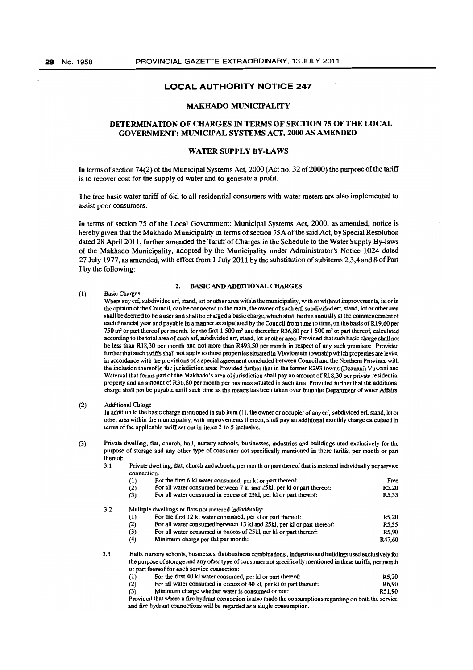#### MAKBADO MUNICIPALITY

#### DETERMINATION OF CHARGES IN TERMS OF SECTION 75 OF THE LOCAL GOVERNMENT: MUNICIPAL SYSTEMS ACT, 2000 AS AMENDED

#### WATER SUPPLY BY-LAWS

In terms of section 74(2) of the Municipal Systems Act, 2000 (Act no. 32 of 2000) the purpose of the tariff is to recover cost for the supply of water and to generate a profit.

The free basic water tariff of 6kl to all residential consumers with water meters are also implemented to assist poor consumers.

In terms of section 75 of the Local Government: Municipal Systems Act, 2000, as amended, notice is hereby given that the Makhado Municipality in terms of section 75A of the said Act, by Special Resolution dated 28 April 2011, further amended the Tariff of Charges in the Schedule to the Water Supply By-laws of the Makhado Municipality, adopted by the Municipality under Administrator's Notice 1024 dated 27 July 1977, as amended, with effect from 1 July 2011 by the substitution of subitems 2,3,4 and 8 of Part I by the following:

#### 2. BASIC AND ADDITIONAL CHARGES

#### (1) Basic Charges

Where any erf, subdivided erf, stand, lot or other area within the municipality, with or without improvements, is, or in the opinion of the Council, can be connected to the main, the owner of such erf, subdivided erf, stand, lot or other area. shall be deemed to be a user and shall be charged a basic charge, which shall be due annually at the commencement of eacb financial year and payable in a manner as stipulated by the Council from time to time, on the basis of R19,60 per 750  $m<sup>2</sup>$  or part thereof per month, for the first 1 500  $m<sup>2</sup>$  and thereafter R36,80 per 1 500  $m<sup>2</sup>$  or part thereof, calculated according to the total area of such erf, subdivided erf, stand, lot or other area: Provided that such basic charge shall not be less than R18,30 per month and not more than R493,50 per month in respect of any such premises: Provided further that such tariffs shall not apply to those properties situated in Vleyfontein township which properties are levied in accordance with the provisions of a special agreement concluded between Council and the Northern Province with the inclusion thereof in the jurisdiction area: Provided further that in the former R293 towns (Dzanani) Vuwani and Waterval that forms part of the Makbado's area of jurisdiction shall pay an amount of R18,30 per private residential property and an amount of R36,80 per month per business situated in such area: Provided further that tbe additional charge shall not be payable until such time as tbe meters has been taken over from the Department of water Affairs.

#### (2) Additional Charge

3.2

In addition to the basic charge mentioned in sub item (1), the owner or occupier of any erf, subdivided erf, stand, lot or other area witbin the municipality, with improvements thereon, shall pay an additional monthly charge calcutated in terms of tbe applicable tariff set out in items 3 to 5 inclusive.

(3) Private dwelling, fiat, church, hall, nursery schools, businesses, industries and buildings used exclusively for the purpose of storage and any other type of consumer not specifically mentioned in these tariffs, per month or part thereof:

3.1 Private dwelling, flat, church and schools, per month or part thereoftbat is metered individually per service connection:

| (1)                                                                      | For the first 6 kl water consumed, per kl or part thereof:             | Free               |  |
|--------------------------------------------------------------------------|------------------------------------------------------------------------|--------------------|--|
| (2)                                                                      | For all water consumed between 7 kl and 25kl, per ki or part thereof:  | R5.20              |  |
| For all water consumed in excess of 25kl, per kl or part thereof:<br>(3) |                                                                        | <b>R5.55</b>       |  |
|                                                                          | Multiple dwellings or flats not metered individually:                  |                    |  |
| $\left(1\right)$                                                         | For the first 12 kl water consumed, per kl or part thereof:            | R <sub>5</sub> .20 |  |
| (2)                                                                      | For all water consumed between 13 kl and 25kl, per kl or part thereof: | <b>R5.55</b>       |  |
| (3)                                                                      | For all water consumed in excess of 25kl, per kl or part thereof:      | R5.90              |  |
| (4)                                                                      |                                                                        |                    |  |

3.3 Halls, nursery scbools, businesses, flat/business combinations" industries and buildings used exclusively for the purpose of storage and any other type of consumer not specifically mentioned in these tariffs, per month or part thereof for each service connection:

|  | (1) | For the first 40 kl water consumed, per kl or part thereof: | R5.20 |
|--|-----|-------------------------------------------------------------|-------|
|--|-----|-------------------------------------------------------------|-------|

- $(2)$  For all water consumed in excess of 40 kl, per kl or part thereof: R6,90
- (3) Minimum charge whether water is consumed or not: RS1,90

Provided that where a fire hydrant connection is also made the consumptions regarding on both the service and fire hydrant connections will be regarded as a single consumption.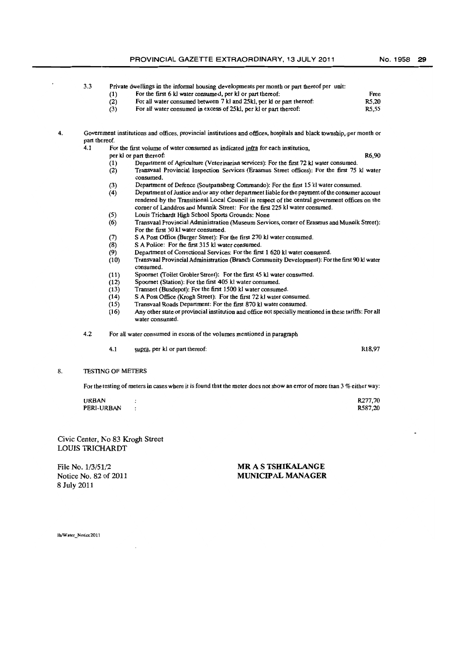Free

3.3 Private dwellings in the informal housing developments per month or part thereof per unit:

- 
- (1) For the first 6 kl water consumed, per kI or part thereof:<br>(2) For all water consumed between 7 kl and 25 kl, per kI or For all water consumed between 7 kl and 25kl, per kl or part thereof:
- (3) For all water consumed in excess of 2SkI. per kI or part thereof: RS,20 RS,55
- 4. Government institutions and offices, provincial institutions and offices, hospitals and black township, per month or part thereof.<br>4.1 Fo
	- For the first volume of water consumed as indicated infra for each institution,
	- per kl or part thereof: R6,90
		- (1) Department of Agriculture (Veterinarian services): For the first 72 kl water consumed.<br>(2) Transvaal Provincial Inspection Services (Erasmus Street offices): For the first 75 (2) Transvaal Provincial Inspection Services (Erasmus Street offices): For the first 75 kI water consumed.
		- (3) Department of Defence (Soutpansberg Commando): For the first 15 kl water consumed.
		- $(4)$  Department of Justice and/or any other department liable for the payment of the consumer account rendered by the Transitional Local Council in respect of the central government offices on the comer of Landdros and Munnik. Street: For the first 225 kl water consumed.
		- (5) Louis Trichardt Higb School Sports Grounds: None
		- (6) Transvaal Provincial Administration (Museum Services, comer of Erasmus and Munnik Street): For the first 30 kl water consumed.
		- (7) S A Post Office (Burger Street): For the first 270 kl water consumed.
		- (8) S A Police: For the first 315 kl water consumed.
		-
		- (9) Department of Correctional Services: For the first 1 620 kl water consumed.<br>(10) Transvaal Provincial Administration (Branch Community Development): For (10) Transvaal Provincial Administration (Branch Community Development): For the first 90 kI water consumed.
		- (11) Spoornet (Toilet Grobler Street): For the first 45 kl water consumed.<br>(12) Spoornet (Station): For the first 405 kl water consumed.
		- Spoornet (Station): For the first 405 kl water consumed.
		- (13) Transoet (Busdepot): For the first 1500 kl water consumed.
		-
		- (14) S A Post Office (Krogh Street): For the first 72 kl water consumed.<br>(15) Transvaal Roads Department: For the first 870 kl water consumed. Transvaal Roads Department: For the first 870 kl water consumed.
		- (16) Any other state or provincial institution and office not specially mentioned in these tariffs: For all water consumed.
	- 4.2 For aU water consumed in excess of the volumes mentioned in paragrapb
		- 4.1 supra, per kl or part thereof: R18,97

#### 8. TESTING OF METERS

For the testing of meters in cases where it is found that the meter does not show an error of more than 3 % either way:

| <b>URBAN</b> | R277.70 |
|--------------|---------|
| PERI-URBAN   | R587,20 |

Civic Center, No 83 Krogh Street LOUIS TRICHARDT

File No. 1/3/51/2 Notice No. 82 of 2011 8 July 2011

#### **MR** A S **TSHlKALANGE MUNICIPAL MANAGER**

lh/Water\_Notice2011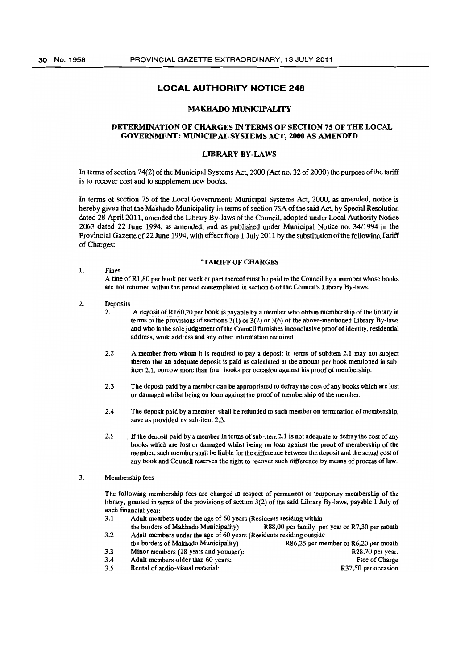## MAKHADO MUNICIPALITY

## DETERMINATION OF CHARGES IN TERMS OF SECTION 75 OF THE LOCAL GOVERNMENT: MUNICIPAL SYSTEMS ACT, 2000 AS AMENDED

#### LffiRARY BY-LAWS

In terms of section 74(2) of the Municipal Systems Act, 2000 (Act no. 32 of 2000) the purpose of the tariff is to recover cost and to supplement new books.

In terms of section 75 of the Local Government: Municipal Systems Act, 2000, as amended, notice is hereby given that the Makhado Municipality in terms of section 75A of the said Act, by Special Resolution dated 28 April 2011, amended the Library By-laws of the Council, adopted under Local Authority Notice 2063 dated 22 June 1994, as amended, and as published under Municipal Notice no. 34/1994 in the Provincial Gazette of 22 June 1994, with effect from 1 July 2011 by the substitution of the following Tariff of Charges:

#### "TARIFF OF CHARGES

1. Fines A fine of Rl,80 per book per week or part thereof must be paid to the Council by a member whose books are not returned within the period contemplated in section 6 of the Council's Library By-laws.

#### 2. Deposits

- 2.1 A deposit of R160,20 per book is payable by a member who obtain membership of the library in terms of the provisions of sections  $3(1)$  or  $3(2)$  or  $3(6)$  of the above-mentioned Library By-laws and who in the sole judgement of the Council furnishes inconclusive proof of identity, residential address, work address and any other information required.
- 2.2 A member from whom it is required to pay a deposit in terms of subitem 2.1 may not subject thereto that an adequate deposit is paid as calculated at the amount per book mentioned in subitem 2.1, borrow more than four books per occasion against his proof of membership.
- 2.3 The deposit paid by a member can be appropriated to defray the cost of any books which are lost or damaged whilst being on loan against the proof of membership of the member.
- 2.4 The deposit paid by a member, shall be refunded to such member on termination of membership, save as provided by sub-item 2.3.
- 2.5 If the deposit paid by a member in terms of sub-item 2.1 is not adequate to defray the cost of any books which are lost or damaged whilst being on loan against the proof of membership of the member, such member shall be liable for the difference between the deposit and the actual cost of any book and Council reserves the right to recover such difference by means of process of law.

#### 3. Membership fees

The following membership fees are charged in respect of permanent or temporary membership of the library, granted in terms of the provisions of section 3(2) of the said Library By-laws, payable 1 July of each financial year:

- 3.1 Adult members under the age of 60 years (Residents residing within the borders of Makhado Municipality) R88,OO per family per year or R7,30 per month 3.2 Adult members under the age of 60 years (Residents residing outside<br>the borders of Makhado Municipality) R86.25 per me
	- R86,25 per member or R6,20 per month
- 3.3 Minor members (18 years and younger): R28,70 per year.

- 3.4 Adult members older than 60 years: Free of Charge 3.5 Rental of audio-visual material: R37,50 per occasion
-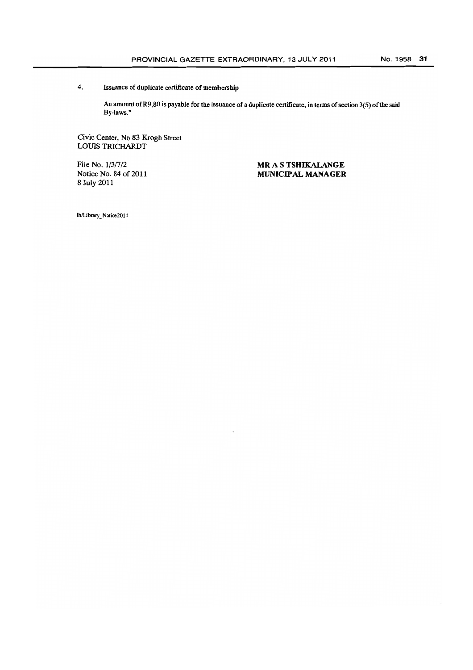## 4. Issuance of duplicate certificate of membership

An amount of R9,80 is payable for the issuance of a duplicate certificate, in terms of section 3(5) of the said By-laws."

Civic Center, No 83 Krogh Street LOUIS TRICHARDT

File No.  $1/3/7/2$ Notice No. 84 of 2011 8 July 2011

**MR** A S **TSHIKALANGE MUNICIPAL MANAGER** 

Ih/libra!y \_ Notioe2011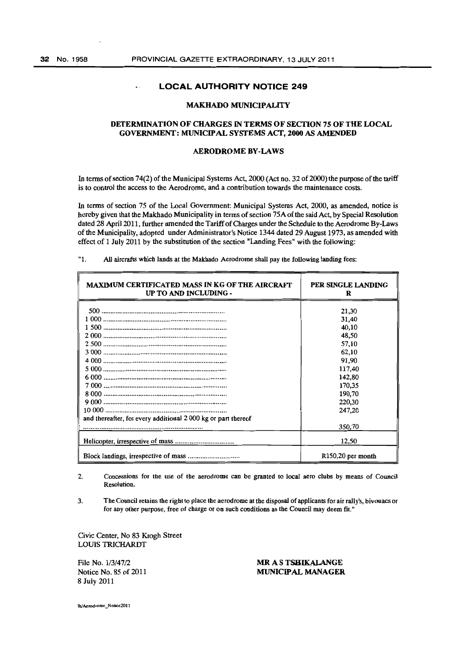$\sim$ 

## **LOCAL AUTHORITY NOTICE 249**

#### MAKHADO MUNICIPALITY

#### DETERMINATION OF CHARGES IN TERMS OF SECTION 7S OF THE LOCAL GOVERNMENT: MUNICIPAL SYSTEMS ACT, 2000 AS AMENDED

#### AERODROME BY-LAWS

In tenns of section 74(2) of the Municipal Systems Act. 2000 (Act no. 32 of 2000) the purpose of the tariff is to control the access to the Aerodrome, and a contribution towards the maintenance costs.

In tenns of section 75 of the Local Government: Municipal Systems Act, 2000, as amended, notice is hereby given that the Makhado Municipality in tenns of section 75A of the said Act. by Special Resolution dated 28 April 2011, further amended the Tariff of Charges under the Schedule to the Aerodrome By-Laws of the Municipality, adopted under Administrator's Notice 1344 dated 29 August 1973, as amended with effect of 1 July 2011 by the substitution of the section "Landing Fees" with the following:

| . . | All aircrafts which lands at the Makhado Aerodrome shall pay the following landing fees: |  |
|-----|------------------------------------------------------------------------------------------|--|
|     |                                                                                          |  |

| <b>MAXIMUM CERTIFICATED MASS IN KG OF THE AIRCRAFT</b><br>UP TO AND INCLUDING - | PER SINGLE LANDING<br>R |
|---------------------------------------------------------------------------------|-------------------------|
|                                                                                 | 21,30                   |
|                                                                                 | 31,40                   |
|                                                                                 | 40,10                   |
|                                                                                 | 48,50                   |
|                                                                                 | 57,10                   |
|                                                                                 | 62,10                   |
|                                                                                 | 91.90                   |
|                                                                                 | 117,40                  |
|                                                                                 | 142,80                  |
|                                                                                 | 170,35                  |
|                                                                                 | 190,70                  |
|                                                                                 | 220,30                  |
|                                                                                 | 247,20                  |
| and thereafter, for every additional 2 000 kg or part thereof                   |                         |
|                                                                                 | 350,70                  |
|                                                                                 | 12,50                   |
|                                                                                 | $R150,20$ per month     |

2. Concessions for the use of the aerodrome can be granted to local aero clubs by means of Council Resolution.

3. Tbe Council retains the right to place tbe aerodrome at the disposal of applicants for air rally's, bivouacs or for any other purpose, free of charge or on such conditions as the Council may deem fit."

Civic Center, No 83 Krogh Street LOUIS TRICHARDT

File No. 1/3/47/2 Notice No. 85 of 2011 8 July 2011

MR A S TSHIKALANGE MUNICIPAL MANAGER

lh/Aerodrome Notice2011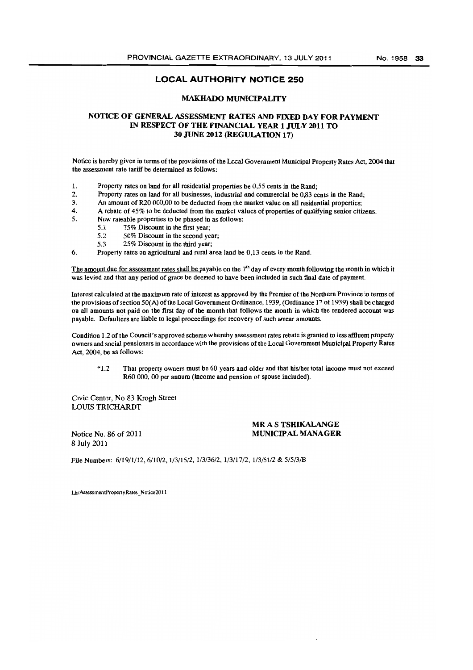#### MAKHADO MUNICIPALITY

## NOTICE OF GENERAL ASSESSMENT RATES AND FIXED DAY FOR PAYMENT IN RESPECT OF THE FINANCIAL YEAR 1 JULY 2011 TO 30 JUNE 2012 (REGULATION 17)

Notice is bereby given in terms of the provisions of the Local Government Municipal Property Rates Act, 2004 that the assessment rate tariff be determined as follows:

- 1. Property rates on land for all residential properties be 0,55 cents in the Rand;
- 2. Property rates on land for all businesses, industrial and commercial be 0,83 cents in the Rand;<br>3. An amount of R20 000.00 to be deducted from the market value on all residential properties:
- 3. An amount of R20 000,00 to be deducted from the market value on all residential properties;<br>4. A rebate of 45% to be deducted from the market values of properties of qualifying senior citi-
- 4. A rebate of 45% to be deducted from the market values of properties of qualifying senior citizens.<br>5. New rateable properties to be phased in as follows:
- New rateable properties to be phased in as follows:
	- 5.1 75% Discount in the first year;<br>5.2 50% Discount in the second ve
		- 50% Discount in the second year;
	- 5.3 25% Discount in the third year;
- 6. Property rates on agricultural and rural area land be 0,13 cents in tbe Rand.

The amount due for assessment rates shall be payable on the  $7<sup>th</sup>$  day of every month following the month in which it was levied and that any period of grace be deemed to bave been included in such final date of payment.

Interest calculated at tbe maximum rate of interest as approved by the Premier of tbe Northern Province in terms of the provisions of section 50(A) of the Local Government Ordinance, 1939, (Ordinance 17 of 1939) shall be charged on all amounts not paid on the first day of the month that follows the month in which the rendered account was payable. Defaulters are liable to legal proceedings for recovery of such arrear amounts.

Condition 1.2 of the Council's approved scheme whereby assessment rates rebate is granted to less affluent property owners and social pensioners in accordance with the provisions of tbe Local Government Municipal Property Rates Act, 2004, be as follows:

"1.2 That propeny owners must be 60 years and older and that his/her total income must not exceed R60 000, 00 per annum (income and pension of spouse included).

Civic Center, No 83 Krogh Street LOUIS TRICHARDT

Notice No. 86 of 2011 8 July 2011

## MR A S TSHIKALANGE MUNICIPAL MANAGER

File Numbers: 6/19/1/12, 6/10/2, 1/3/15/2, 1/3/36/2, 1/3/17/2, 1/3/51/2 & 5/5/3/B

Lh/AssessmentPropertyRates\_Notice2011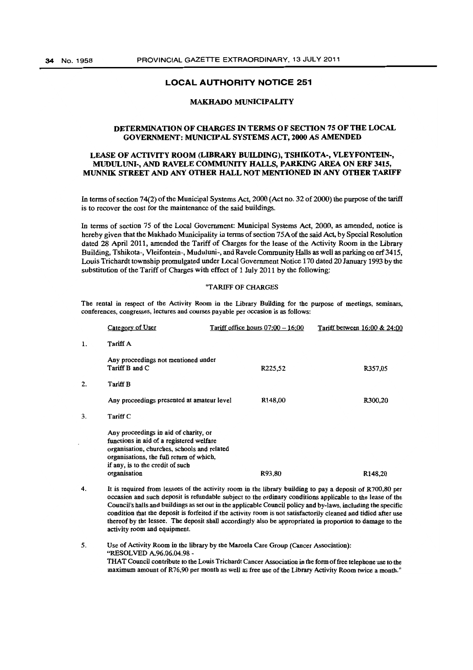#### MAKHADO MUNICIPALITY

## DETERMINATION OF CHARGES IN TERMS OF SECflON 75 OF THE LOCAL GOVERNMENT: MUNICIPAL SYSTEMS ACT, 2000 AS AMENDED

#### LEASE OF ACTIVITY ROOM (LIBRARY BUILDING), TSHIKOTA-, VLEYFONTEIN-, MUDULUNI-, AND RA VELE COMMUNITY HALLS, PARKING AREA ON ERF 3415, MUNNIK STREET AND ANY OTHER HALL NOT MENTIONED IN ANY OTHER TARIFF

In terms of section 74(2) of the Municipal Systems Act, 2000 (Act no. 32 of 2000) the purpose of the tariff is to recover the cost for the maintenance of the said buildings.

In terms of section 75 of the Local Government: Municipal Systems Act, 2000, as amended, notice is hereby given that the Makhado Municipality in terms of section 75A of the said Act, by Special Resolution dated 28 April 2011, amended the Tariff of Charges for the lease of the Activity Room in the Library Building, Tshikota-, Vleifontein-, Muduluni-, and Ravele Community Halls as well as parking on erf 3415, Louis Trichardt township promulgated under Local Government Notice 170 dated 20 January 1993 by the substitution of the Tariff of Charges with effect of 1 July 2011 by the following:

#### "TARIFF OF CHARGES

The rental in respect of the Activity Room in the Library Building for the purpose of meetings, seminars, conferences, congresses, lectures and courses payable per occasion is as follows:

|    | Category of User                                                                                                                                                                                                                 | Tariff office hours $07:00 - 16:00$ | Tariff between 16:00 & 24:00 |
|----|----------------------------------------------------------------------------------------------------------------------------------------------------------------------------------------------------------------------------------|-------------------------------------|------------------------------|
| 1. | Tariff A                                                                                                                                                                                                                         |                                     |                              |
|    | Any proceedings not mentioned under<br>Tariff B and C                                                                                                                                                                            | R225,52                             | R357,05                      |
| 2. | Tariff B                                                                                                                                                                                                                         |                                     |                              |
|    | Any proceedings presented at amateur level                                                                                                                                                                                       | R148.00                             | R300,20                      |
| 3. | Tariff C                                                                                                                                                                                                                         |                                     |                              |
|    | Any proceedings in aid of charity, or<br>functions in aid of a registered welfare<br>organisation, churches, schools and related<br>organisations, the full return of which,<br>if any, is to the credit of such<br>organisation | R93.80                              | R <sub>148,20</sub>          |

4. It is required from lessees of the activity room in the library building to pay a deposit of R700,80 per occasion and such deposit is refundable subject to the ordinary conditions applicable to the lease of the Council's halls and buildings as set out in the applicable Council policy and by-laws, including the specific condition that tbe deposit is forfeited if the activity room is not satisfactorily cleaned and tidied after use thereof by tbe lessee. Tbe deposit shall accordingly also be appropriated in proportion to damage to tbe activity room and equipment.

5. Use of Activity Room in tbe library by the Maroela Care Group (Cancer Association): "RESOLVED A.96.06.04.98 THAT Council contribute to the Louis Trichardt Cancer Association in the form of free telephone use to the maximum amount of R76,90 per month as well as free use of the Library Activity Room twice a month."